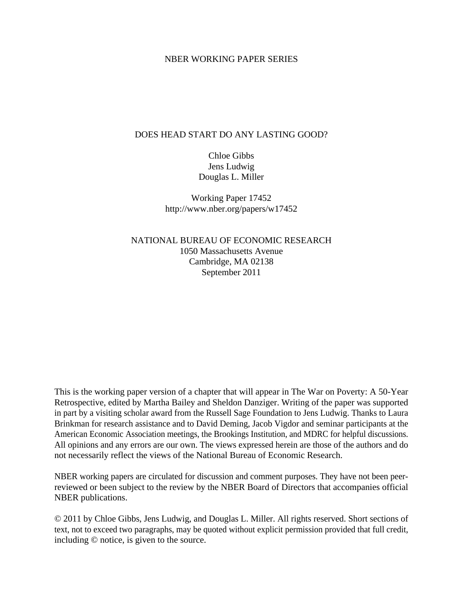## NBER WORKING PAPER SERIES

# DOES HEAD START DO ANY LASTING GOOD?

Chloe Gibbs Jens Ludwig Douglas L. Miller

Working Paper 17452 http://www.nber.org/papers/w17452

NATIONAL BUREAU OF ECONOMIC RESEARCH 1050 Massachusetts Avenue Cambridge, MA 02138 September 2011

This is the working paper version of a chapter that will appear in The War on Poverty: A 50-Year Retrospective, edited by Martha Bailey and Sheldon Danziger. Writing of the paper was supported in part by a visiting scholar award from the Russell Sage Foundation to Jens Ludwig. Thanks to Laura Brinkman for research assistance and to David Deming, Jacob Vigdor and seminar participants at the American Economic Association meetings, the Brookings Institution, and MDRC for helpful discussions. All opinions and any errors are our own. The views expressed herein are those of the authors and do not necessarily reflect the views of the National Bureau of Economic Research.

NBER working papers are circulated for discussion and comment purposes. They have not been peerreviewed or been subject to the review by the NBER Board of Directors that accompanies official NBER publications.

© 2011 by Chloe Gibbs, Jens Ludwig, and Douglas L. Miller. All rights reserved. Short sections of text, not to exceed two paragraphs, may be quoted without explicit permission provided that full credit, including © notice, is given to the source.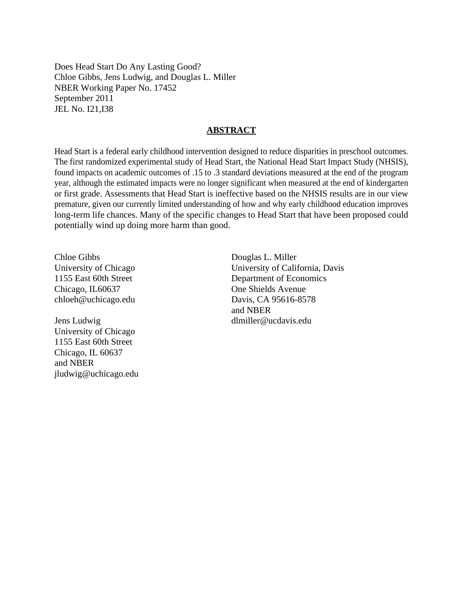Does Head Start Do Any Lasting Good? Chloe Gibbs, Jens Ludwig, and Douglas L. Miller NBER Working Paper No. 17452 September 2011 JEL No. I21,I38

#### **ABSTRACT**

Head Start is a federal early childhood intervention designed to reduce disparities in preschool outcomes. The first randomized experimental study of Head Start, the National Head Start Impact Study (NHSIS), found impacts on academic outcomes of .15 to .3 standard deviations measured at the end of the program year, although the estimated impacts were no longer significant when measured at the end of kindergarten or first grade. Assessments that Head Start is ineffective based on the NHSIS results are in our view premature, given our currently limited understanding of how and why early childhood education improves long-term life chances. Many of the specific changes to Head Start that have been proposed could potentially wind up doing more harm than good.

Chloe Gibbs University of Chicago 1155 East 60th Street Chicago, IL60637 chloeh@uchicago.edu

Jens Ludwig University of Chicago 1155 East 60th Street Chicago, IL 60637 and NBER jludwig@uchicago.edu

Douglas L. Miller University of California, Davis Department of Economics One Shields Avenue Davis, CA 95616-8578 and NBER dlmiller@ucdavis.edu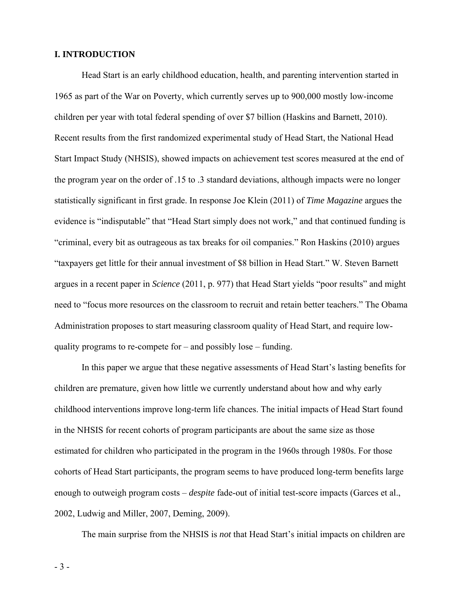# **I. INTRODUCTION**

 Head Start is an early childhood education, health, and parenting intervention started in 1965 as part of the War on Poverty, which currently serves up to 900,000 mostly low-income children per year with total federal spending of over \$7 billion (Haskins and Barnett, 2010). Recent results from the first randomized experimental study of Head Start, the National Head Start Impact Study (NHSIS), showed impacts on achievement test scores measured at the end of the program year on the order of .15 to .3 standard deviations, although impacts were no longer statistically significant in first grade. In response Joe Klein (2011) of *Time Magazine* argues the evidence is "indisputable" that "Head Start simply does not work," and that continued funding is "criminal, every bit as outrageous as tax breaks for oil companies." Ron Haskins (2010) argues "taxpayers get little for their annual investment of \$8 billion in Head Start." W. Steven Barnett argues in a recent paper in *Science* (2011, p. 977) that Head Start yields "poor results" and might need to "focus more resources on the classroom to recruit and retain better teachers." The Obama Administration proposes to start measuring classroom quality of Head Start, and require lowquality programs to re-compete for – and possibly lose – funding.

 In this paper we argue that these negative assessments of Head Start's lasting benefits for children are premature, given how little we currently understand about how and why early childhood interventions improve long-term life chances. The initial impacts of Head Start found in the NHSIS for recent cohorts of program participants are about the same size as those estimated for children who participated in the program in the 1960s through 1980s. For those cohorts of Head Start participants, the program seems to have produced long-term benefits large enough to outweigh program costs – *despite* fade-out of initial test-score impacts (Garces et al., 2002, Ludwig and Miller, 2007, Deming, 2009).

The main surprise from the NHSIS is *not* that Head Start's initial impacts on children are

- 3 -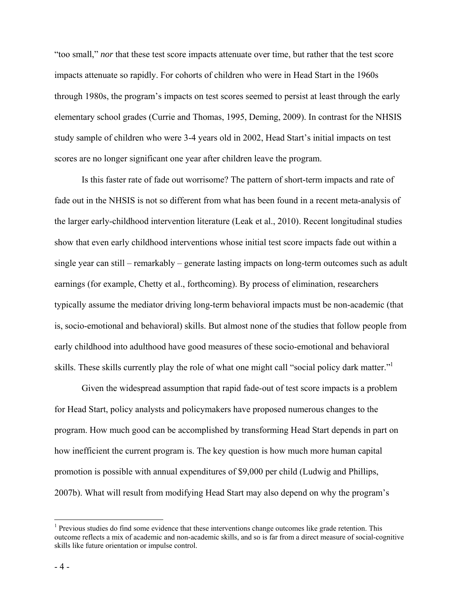"too small," *nor* that these test score impacts attenuate over time, but rather that the test score impacts attenuate so rapidly. For cohorts of children who were in Head Start in the 1960s through 1980s, the program's impacts on test scores seemed to persist at least through the early elementary school grades (Currie and Thomas, 1995, Deming, 2009). In contrast for the NHSIS study sample of children who were 3-4 years old in 2002, Head Start's initial impacts on test scores are no longer significant one year after children leave the program.

Is this faster rate of fade out worrisome? The pattern of short-term impacts and rate of fade out in the NHSIS is not so different from what has been found in a recent meta-analysis of the larger early-childhood intervention literature (Leak et al., 2010). Recent longitudinal studies show that even early childhood interventions whose initial test score impacts fade out within a single year can still – remarkably – generate lasting impacts on long-term outcomes such as adult earnings (for example, Chetty et al., forthcoming). By process of elimination, researchers typically assume the mediator driving long-term behavioral impacts must be non-academic (that is, socio-emotional and behavioral) skills. But almost none of the studies that follow people from early childhood into adulthood have good measures of these socio-emotional and behavioral skills. These skills currently play the role of what one might call "social policy dark matter."

Given the widespread assumption that rapid fade-out of test score impacts is a problem for Head Start, policy analysts and policymakers have proposed numerous changes to the program. How much good can be accomplished by transforming Head Start depends in part on how inefficient the current program is. The key question is how much more human capital promotion is possible with annual expenditures of \$9,000 per child (Ludwig and Phillips, 2007b). What will result from modifying Head Start may also depend on why the program's

 $\overline{a}$ 

<sup>&</sup>lt;sup>1</sup> Previous studies do find some evidence that these interventions change outcomes like grade retention. This outcome reflects a mix of academic and non-academic skills, and so is far from a direct measure of social-cognitive skills like future orientation or impulse control.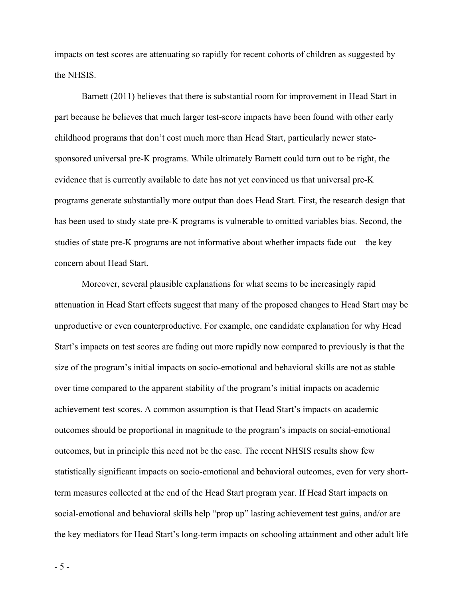impacts on test scores are attenuating so rapidly for recent cohorts of children as suggested by the NHSIS.

Barnett (2011) believes that there is substantial room for improvement in Head Start in part because he believes that much larger test-score impacts have been found with other early childhood programs that don't cost much more than Head Start, particularly newer statesponsored universal pre-K programs. While ultimately Barnett could turn out to be right, the evidence that is currently available to date has not yet convinced us that universal pre-K programs generate substantially more output than does Head Start. First, the research design that has been used to study state pre-K programs is vulnerable to omitted variables bias. Second, the studies of state pre-K programs are not informative about whether impacts fade out – the key concern about Head Start.

Moreover, several plausible explanations for what seems to be increasingly rapid attenuation in Head Start effects suggest that many of the proposed changes to Head Start may be unproductive or even counterproductive. For example, one candidate explanation for why Head Start's impacts on test scores are fading out more rapidly now compared to previously is that the size of the program's initial impacts on socio-emotional and behavioral skills are not as stable over time compared to the apparent stability of the program's initial impacts on academic achievement test scores. A common assumption is that Head Start's impacts on academic outcomes should be proportional in magnitude to the program's impacts on social-emotional outcomes, but in principle this need not be the case. The recent NHSIS results show few statistically significant impacts on socio-emotional and behavioral outcomes, even for very shortterm measures collected at the end of the Head Start program year. If Head Start impacts on social-emotional and behavioral skills help "prop up" lasting achievement test gains, and/or are the key mediators for Head Start's long-term impacts on schooling attainment and other adult life

- 5 -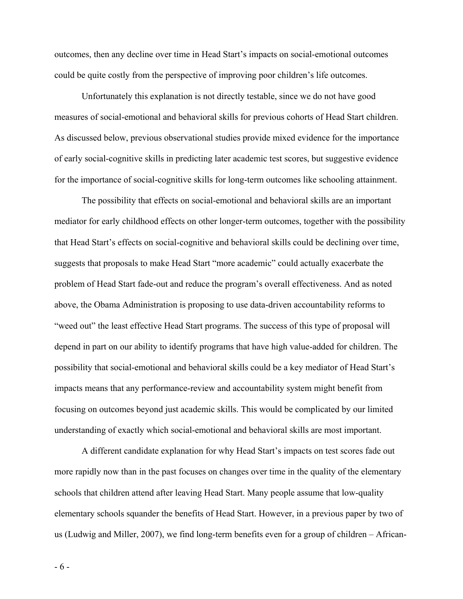outcomes, then any decline over time in Head Start's impacts on social-emotional outcomes could be quite costly from the perspective of improving poor children's life outcomes.

Unfortunately this explanation is not directly testable, since we do not have good measures of social-emotional and behavioral skills for previous cohorts of Head Start children. As discussed below, previous observational studies provide mixed evidence for the importance of early social-cognitive skills in predicting later academic test scores, but suggestive evidence for the importance of social-cognitive skills for long-term outcomes like schooling attainment.

 The possibility that effects on social-emotional and behavioral skills are an important mediator for early childhood effects on other longer-term outcomes, together with the possibility that Head Start's effects on social-cognitive and behavioral skills could be declining over time, suggests that proposals to make Head Start "more academic" could actually exacerbate the problem of Head Start fade-out and reduce the program's overall effectiveness. And as noted above, the Obama Administration is proposing to use data-driven accountability reforms to "weed out" the least effective Head Start programs. The success of this type of proposal will depend in part on our ability to identify programs that have high value-added for children. The possibility that social-emotional and behavioral skills could be a key mediator of Head Start's impacts means that any performance-review and accountability system might benefit from focusing on outcomes beyond just academic skills. This would be complicated by our limited understanding of exactly which social-emotional and behavioral skills are most important.

A different candidate explanation for why Head Start's impacts on test scores fade out more rapidly now than in the past focuses on changes over time in the quality of the elementary schools that children attend after leaving Head Start. Many people assume that low-quality elementary schools squander the benefits of Head Start. However, in a previous paper by two of us (Ludwig and Miller, 2007), we find long-term benefits even for a group of children – African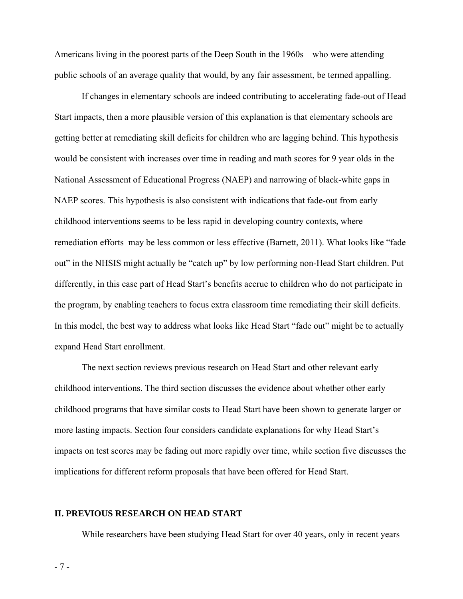Americans living in the poorest parts of the Deep South in the 1960s – who were attending public schools of an average quality that would, by any fair assessment, be termed appalling.

 If changes in elementary schools are indeed contributing to accelerating fade-out of Head Start impacts, then a more plausible version of this explanation is that elementary schools are getting better at remediating skill deficits for children who are lagging behind. This hypothesis would be consistent with increases over time in reading and math scores for 9 year olds in the National Assessment of Educational Progress (NAEP) and narrowing of black-white gaps in NAEP scores. This hypothesis is also consistent with indications that fade-out from early childhood interventions seems to be less rapid in developing country contexts, where remediation efforts may be less common or less effective (Barnett, 2011). What looks like "fade out" in the NHSIS might actually be "catch up" by low performing non-Head Start children. Put differently, in this case part of Head Start's benefits accrue to children who do not participate in the program, by enabling teachers to focus extra classroom time remediating their skill deficits. In this model, the best way to address what looks like Head Start "fade out" might be to actually expand Head Start enrollment.

The next section reviews previous research on Head Start and other relevant early childhood interventions. The third section discusses the evidence about whether other early childhood programs that have similar costs to Head Start have been shown to generate larger or more lasting impacts. Section four considers candidate explanations for why Head Start's impacts on test scores may be fading out more rapidly over time, while section five discusses the implications for different reform proposals that have been offered for Head Start.

#### **II. PREVIOUS RESEARCH ON HEAD START**

While researchers have been studying Head Start for over 40 years, only in recent years

- 7 -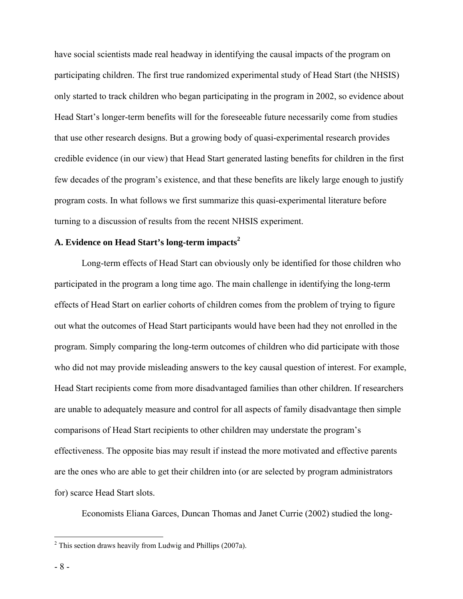have social scientists made real headway in identifying the causal impacts of the program on participating children. The first true randomized experimental study of Head Start (the NHSIS) only started to track children who began participating in the program in 2002, so evidence about Head Start's longer-term benefits will for the foreseeable future necessarily come from studies that use other research designs. But a growing body of quasi-experimental research provides credible evidence (in our view) that Head Start generated lasting benefits for children in the first few decades of the program's existence, and that these benefits are likely large enough to justify program costs. In what follows we first summarize this quasi-experimental literature before turning to a discussion of results from the recent NHSIS experiment.

# **A. Evidence on Head Start's long-term impacts<sup>2</sup>**

Long-term effects of Head Start can obviously only be identified for those children who participated in the program a long time ago. The main challenge in identifying the long-term effects of Head Start on earlier cohorts of children comes from the problem of trying to figure out what the outcomes of Head Start participants would have been had they not enrolled in the program. Simply comparing the long-term outcomes of children who did participate with those who did not may provide misleading answers to the key causal question of interest. For example, Head Start recipients come from more disadvantaged families than other children. If researchers are unable to adequately measure and control for all aspects of family disadvantage then simple comparisons of Head Start recipients to other children may understate the program's effectiveness. The opposite bias may result if instead the more motivated and effective parents are the ones who are able to get their children into (or are selected by program administrators for) scarce Head Start slots.

Economists Eliana Garces, Duncan Thomas and Janet Currie (2002) studied the long-

<sup>&</sup>lt;sup>2</sup> This section draws heavily from Ludwig and Phillips (2007a).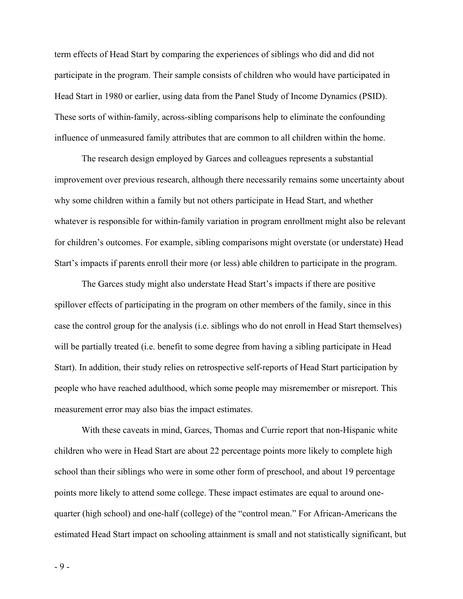term effects of Head Start by comparing the experiences of siblings who did and did not participate in the program. Their sample consists of children who would have participated in Head Start in 1980 or earlier, using data from the Panel Study of Income Dynamics (PSID). These sorts of within-family, across-sibling comparisons help to eliminate the confounding influence of unmeasured family attributes that are common to all children within the home.

The research design employed by Garces and colleagues represents a substantial improvement over previous research, although there necessarily remains some uncertainty about why some children within a family but not others participate in Head Start, and whether whatever is responsible for within-family variation in program enrollment might also be relevant for children's outcomes. For example, sibling comparisons might overstate (or understate) Head Start's impacts if parents enroll their more (or less) able children to participate in the program.

The Garces study might also understate Head Start's impacts if there are positive spillover effects of participating in the program on other members of the family, since in this case the control group for the analysis (i.e. siblings who do not enroll in Head Start themselves) will be partially treated (i.e. benefit to some degree from having a sibling participate in Head Start). In addition, their study relies on retrospective self-reports of Head Start participation by people who have reached adulthood, which some people may misremember or misreport. This measurement error may also bias the impact estimates.

 With these caveats in mind, Garces, Thomas and Currie report that non-Hispanic white children who were in Head Start are about 22 percentage points more likely to complete high school than their siblings who were in some other form of preschool, and about 19 percentage points more likely to attend some college. These impact estimates are equal to around onequarter (high school) and one-half (college) of the "control mean." For African-Americans the estimated Head Start impact on schooling attainment is small and not statistically significant, but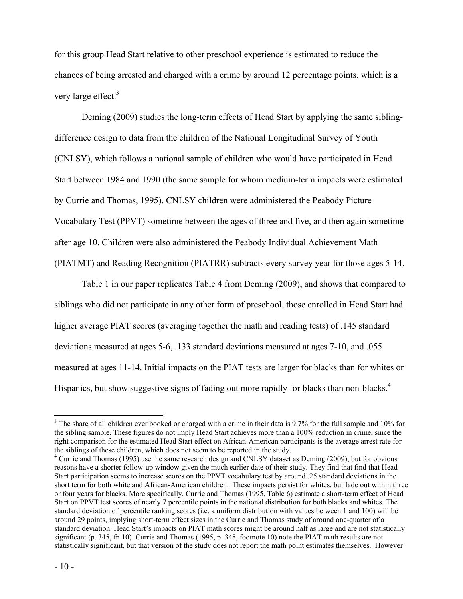for this group Head Start relative to other preschool experience is estimated to reduce the chances of being arrested and charged with a crime by around 12 percentage points, which is a very large effect.<sup>3</sup>

 Deming (2009) studies the long-term effects of Head Start by applying the same siblingdifference design to data from the children of the National Longitudinal Survey of Youth (CNLSY), which follows a national sample of children who would have participated in Head Start between 1984 and 1990 (the same sample for whom medium-term impacts were estimated by Currie and Thomas, 1995). CNLSY children were administered the Peabody Picture Vocabulary Test (PPVT) sometime between the ages of three and five, and then again sometime after age 10. Children were also administered the Peabody Individual Achievement Math (PIATMT) and Reading Recognition (PIATRR) subtracts every survey year for those ages 5-14.

Table 1 in our paper replicates Table 4 from Deming (2009), and shows that compared to siblings who did not participate in any other form of preschool, those enrolled in Head Start had higher average PIAT scores (averaging together the math and reading tests) of .145 standard deviations measured at ages 5-6, .133 standard deviations measured at ages 7-10, and .055 measured at ages 11-14. Initial impacts on the PIAT tests are larger for blacks than for whites or Hispanics, but show suggestive signs of fading out more rapidly for blacks than non-blacks.<sup>4</sup>

 $\overline{a}$ 

 $3$  The share of all children ever booked or charged with a crime in their data is 9.7% for the full sample and 10% for the sibling sample. These figures do not imply Head Start achieves more than a 100% reduction in crime, since the right comparison for the estimated Head Start effect on African-American participants is the average arrest rate for the siblings of these children, which does not seem to be reported in the study. 4

<sup>&</sup>lt;sup>4</sup> Currie and Thomas (1995) use the same research design and CNLSY dataset as Deming (2009), but for obvious reasons have a shorter follow-up window given the much earlier date of their study. They find that find that Head Start participation seems to increase scores on the PPVT vocabulary test by around .25 standard deviations in the short term for both white and African-American children. These impacts persist for whites, but fade out within three or four years for blacks. More specifically, Currie and Thomas (1995, Table 6) estimate a short-term effect of Head Start on PPVT test scores of nearly 7 percentile points in the national distribution for both blacks and whites. The standard deviation of percentile ranking scores (i.e. a uniform distribution with values between 1 and 100) will be around 29 points, implying short-term effect sizes in the Currie and Thomas study of around one-quarter of a standard deviation. Head Start's impacts on PIAT math scores might be around half as large and are not statistically significant (p. 345, fn 10). Currie and Thomas (1995, p. 345, footnote 10) note the PIAT math results are not statistically significant, but that version of the study does not report the math point estimates themselves. However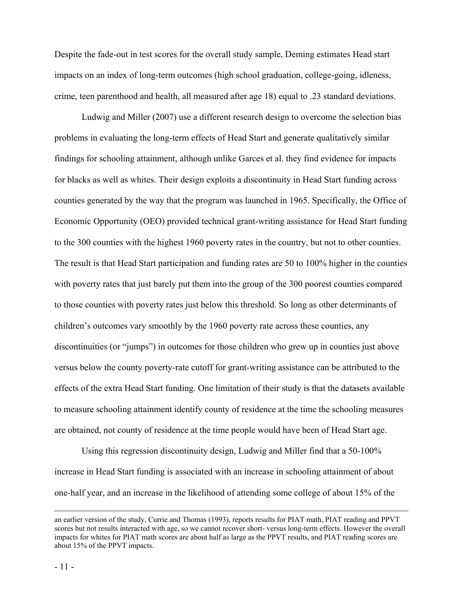Despite the fade-out in test scores for the overall study sample, Deming estimates Head start impacts on an index of long-term outcomes (high school graduation, college-going, idleness, crime, teen parenthood and health, all measured after age 18) equal to .23 standard deviations.

 Ludwig and Miller (2007) use a different research design to overcome the selection bias problems in evaluating the long-term effects of Head Start and generate qualitatively similar findings for schooling attainment, although unlike Garces et al. they find evidence for impacts for blacks as well as whites. Their design exploits a discontinuity in Head Start funding across counties generated by the way that the program was launched in 1965. Specifically, the Office of Economic Opportunity (OEO) provided technical grant-writing assistance for Head Start funding to the 300 counties with the highest 1960 poverty rates in the country, but not to other counties. The result is that Head Start participation and funding rates are 50 to 100% higher in the counties with poverty rates that just barely put them into the group of the 300 poorest counties compared to those counties with poverty rates just below this threshold. So long as other determinants of children's outcomes vary smoothly by the 1960 poverty rate across these counties, any discontinuities (or "jumps") in outcomes for those children who grew up in counties just above versus below the county poverty-rate cutoff for grant-writing assistance can be attributed to the effects of the extra Head Start funding. One limitation of their study is that the datasets available to measure schooling attainment identify county of residence at the time the schooling measures are obtained, not county of residence at the time people would have been of Head Start age.

 Using this regression discontinuity design, Ludwig and Miller find that a 50-100% increase in Head Start funding is associated with an increase in schooling attainment of about one-half year, and an increase in the likelihood of attending some college of about 15% of the

an earlier version of the study, Currie and Thomas (1993), reports results for PIAT math, PIAT reading and PPVT scores but not results interacted with age, so we cannot recover short- versus long-term effects. However the overall impacts for whites for PIAT math scores are about half as large as the PPVT results, and PIAT reading scores are about 15% of the PPVT impacts.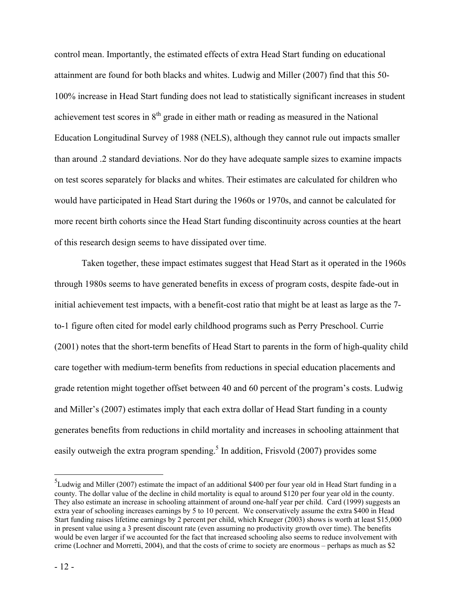control mean. Importantly, the estimated effects of extra Head Start funding on educational attainment are found for both blacks and whites. Ludwig and Miller (2007) find that this 50- 100% increase in Head Start funding does not lead to statistically significant increases in student achievement test scores in  $8<sup>th</sup>$  grade in either math or reading as measured in the National Education Longitudinal Survey of 1988 (NELS), although they cannot rule out impacts smaller than around .2 standard deviations. Nor do they have adequate sample sizes to examine impacts on test scores separately for blacks and whites. Their estimates are calculated for children who would have participated in Head Start during the 1960s or 1970s, and cannot be calculated for more recent birth cohorts since the Head Start funding discontinuity across counties at the heart of this research design seems to have dissipated over time.

 Taken together, these impact estimates suggest that Head Start as it operated in the 1960s through 1980s seems to have generated benefits in excess of program costs, despite fade-out in initial achievement test impacts, with a benefit-cost ratio that might be at least as large as the 7 to-1 figure often cited for model early childhood programs such as Perry Preschool. Currie (2001) notes that the short-term benefits of Head Start to parents in the form of high-quality child care together with medium-term benefits from reductions in special education placements and grade retention might together offset between 40 and 60 percent of the program's costs. Ludwig and Miller's (2007) estimates imply that each extra dollar of Head Start funding in a county generates benefits from reductions in child mortality and increases in schooling attainment that easily outweigh the extra program spending.<sup>5</sup> In addition, Frisvold (2007) provides some

 $\overline{a}$ 

 ${}^{5}$ Ludwig and Miller (2007) estimate the impact of an additional \$400 per four year old in Head Start funding in a county. The dollar value of the decline in child mortality is equal to around \$120 per four year old in the county. They also estimate an increase in schooling attainment of around one-half year per child. Card (1999) suggests an extra year of schooling increases earnings by 5 to 10 percent. We conservatively assume the extra \$400 in Head Start funding raises lifetime earnings by 2 percent per child, which Krueger (2003) shows is worth at least \$15,000 in present value using a 3 present discount rate (even assuming no productivity growth over time). The benefits would be even larger if we accounted for the fact that increased schooling also seems to reduce involvement with crime (Lochner and Morretti, 2004), and that the costs of crime to society are enormous – perhaps as much as \$2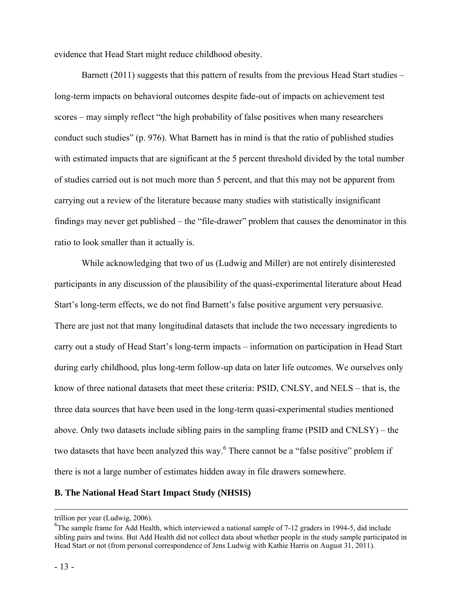evidence that Head Start might reduce childhood obesity.

Barnett (2011) suggests that this pattern of results from the previous Head Start studies – long-term impacts on behavioral outcomes despite fade-out of impacts on achievement test scores – may simply reflect "the high probability of false positives when many researchers conduct such studies" (p. 976). What Barnett has in mind is that the ratio of published studies with estimated impacts that are significant at the 5 percent threshold divided by the total number of studies carried out is not much more than 5 percent, and that this may not be apparent from carrying out a review of the literature because many studies with statistically insignificant findings may never get published – the "file-drawer" problem that causes the denominator in this ratio to look smaller than it actually is.

 While acknowledging that two of us (Ludwig and Miller) are not entirely disinterested participants in any discussion of the plausibility of the quasi-experimental literature about Head Start's long-term effects, we do not find Barnett's false positive argument very persuasive. There are just not that many longitudinal datasets that include the two necessary ingredients to carry out a study of Head Start's long-term impacts – information on participation in Head Start during early childhood, plus long-term follow-up data on later life outcomes. We ourselves only know of three national datasets that meet these criteria: PSID, CNLSY, and NELS – that is, the three data sources that have been used in the long-term quasi-experimental studies mentioned above. Only two datasets include sibling pairs in the sampling frame (PSID and CNLSY) – the two datasets that have been analyzed this way.<sup>6</sup> There cannot be a "false positive" problem if there is not a large number of estimates hidden away in file drawers somewhere.

#### **B. The National Head Start Impact Study (NHSIS)**

trillion per year (Ludwig, 2006).

<sup>&</sup>lt;sup>6</sup>The sample frame for Add Health, which interviewed a national sample of 7-12 graders in 1994-5, did include sibling pairs and twins. But Add Health did not collect data about whether people in the study sample participated in Head Start or not (from personal correspondence of Jens Ludwig with Kathie Harris on August 31, 2011).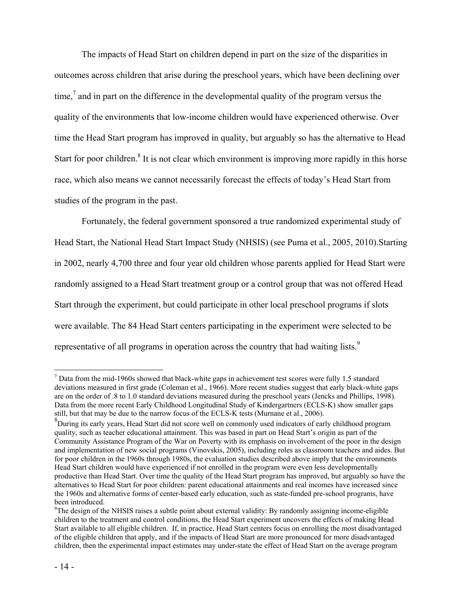The impacts of Head Start on children depend in part on the size of the disparities in outcomes across children that arise during the preschool years, which have been declining over time, $\frac{7}{1}$  and in part on the difference in the developmental quality of the program versus the quality of the environments that low-income children would have experienced otherwise. Over time the Head Start program has improved in quality, but arguably so has the alternative to Head Start for poor children.<sup>8</sup> It is not clear which environment is improving more rapidly in this horse race, which also means we cannot necessarily forecast the effects of today's Head Start from studies of the program in the past.

 Fortunately, the federal government sponsored a true randomized experimental study of Head Start, the National Head Start Impact Study (NHSIS) (see Puma et al., 2005, 2010).Starting in 2002, nearly 4,700 three and four year old children whose parents applied for Head Start were randomly assigned to a Head Start treatment group or a control group that was not offered Head Start through the experiment, but could participate in other local preschool programs if slots were available. The 84 Head Start centers participating in the experiment were selected to be representative of all programs in operation across the country that had waiting lists.<sup>9</sup>

1

 $<sup>7</sup>$  Data from the mid-1960s showed that black-white gaps in achievement test scores were fully 1.5 standard</sup> deviations measured in first grade (Coleman et al., 1966). More recent studies suggest that early black-white gaps are on the order of .8 to 1.0 standard deviations measured during the preschool years (Jencks and Phillips, 1998). Data from the more recent Early Childhood Longitudinal Study of Kindergartners (ECLS-K) show smaller gaps still, but that may be due to the narrow focus of the ECLS-K tests (Murnane et al., 2006).

<sup>&</sup>lt;sup>8</sup>During its early years, Head Start did not score well on commonly used indicators of early childhood program quality, such as teacher educational attainment. This was based in part on Head Start's origin as part of the Community Assistance Program of the War on Poverty with its emphasis on involvement of the poor in the design and implementation of new social programs (Vinovskis, 2005), including roles as classroom teachers and aides. But for poor children in the 1960s through 1980s, the evaluation studies described above imply that the environments Head Start children would have experienced if not enrolled in the program were even less developmentally productive than Head Start. Over time the quality of the Head Start program has improved, but arguably so have the alternatives to Head Start for poor children: parent educational attainments and real incomes have increased since the 1960s and alternative forms of center-based early education, such as state-funded pre-school programs, have been introduced.

<sup>&</sup>lt;sup>9</sup>The design of the NHSIS raises a subtle point about external validity: By randomly assigning income-eligible children to the treatment and control conditions, the Head Start experiment uncovers the effects of making Head Start available to all eligible children. If, in practice, Head Start centers focus on enrolling the most disadvantaged of the eligible children that apply, and if the impacts of Head Start are more pronounced for more disadvantaged children, then the experimental impact estimates may under-state the effect of Head Start on the average program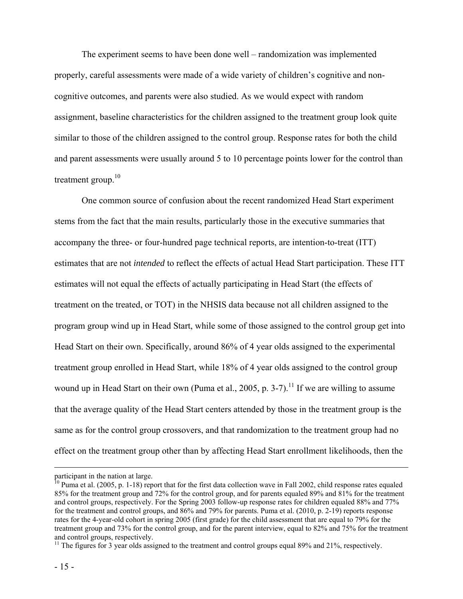The experiment seems to have been done well – randomization was implemented properly, careful assessments were made of a wide variety of children's cognitive and noncognitive outcomes, and parents were also studied. As we would expect with random assignment, baseline characteristics for the children assigned to the treatment group look quite similar to those of the children assigned to the control group. Response rates for both the child and parent assessments were usually around 5 to 10 percentage points lower for the control than treatment group. $10$ 

One common source of confusion about the recent randomized Head Start experiment stems from the fact that the main results, particularly those in the executive summaries that accompany the three- or four-hundred page technical reports, are intention-to-treat (ITT) estimates that are not *intended* to reflect the effects of actual Head Start participation. These ITT estimates will not equal the effects of actually participating in Head Start (the effects of treatment on the treated, or TOT) in the NHSIS data because not all children assigned to the program group wind up in Head Start, while some of those assigned to the control group get into Head Start on their own. Specifically, around 86% of 4 year olds assigned to the experimental treatment group enrolled in Head Start, while 18% of 4 year olds assigned to the control group wound up in Head Start on their own (Puma et al., 2005, p. 3-7).<sup>11</sup> If we are willing to assume that the average quality of the Head Start centers attended by those in the treatment group is the same as for the control group crossovers, and that randomization to the treatment group had no effect on the treatment group other than by affecting Head Start enrollment likelihoods, then the

participant in the nation at large.

 $10$  Puma et al. (2005, p. 1-18) report that for the first data collection wave in Fall 2002, child response rates equaled 85% for the treatment group and 72% for the control group, and for parents equaled 89% and 81% for the treatment and control groups, respectively. For the Spring 2003 follow-up response rates for children equaled 88% and 77% for the treatment and control groups, and 86% and 79% for parents. Puma et al. (2010, p. 2-19) reports response rates for the 4-year-old cohort in spring 2005 (first grade) for the child assessment that are equal to 79% for the treatment group and 73% for the control group, and for the parent interview, equal to 82% and 75% for the treatment and control groups, respectively.

<sup>&</sup>lt;sup>11</sup> The figures for 3 year olds assigned to the treatment and control groups equal 89% and 21%, respectively.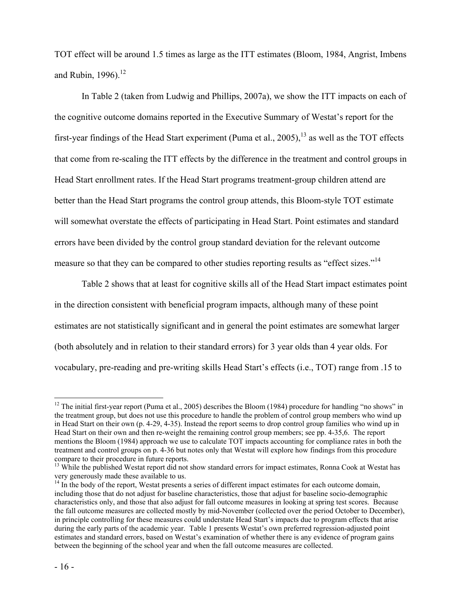TOT effect will be around 1.5 times as large as the ITT estimates (Bloom, 1984, Angrist, Imbens and Rubin,  $1996$ ).<sup>12</sup>

In Table 2 (taken from Ludwig and Phillips, 2007a), we show the ITT impacts on each of the cognitive outcome domains reported in the Executive Summary of Westat's report for the first-year findings of the Head Start experiment (Puma et al.,  $2005$ ), <sup>13</sup> as well as the TOT effects that come from re-scaling the ITT effects by the difference in the treatment and control groups in Head Start enrollment rates. If the Head Start programs treatment-group children attend are better than the Head Start programs the control group attends, this Bloom-style TOT estimate will somewhat overstate the effects of participating in Head Start. Point estimates and standard errors have been divided by the control group standard deviation for the relevant outcome measure so that they can be compared to other studies reporting results as "effect sizes."<sup>14</sup>

Table 2 shows that at least for cognitive skills all of the Head Start impact estimates point in the direction consistent with beneficial program impacts, although many of these point estimates are not statistically significant and in general the point estimates are somewhat larger (both absolutely and in relation to their standard errors) for 3 year olds than 4 year olds. For vocabulary, pre-reading and pre-writing skills Head Start's effects (i.e., TOT) range from .15 to

1

 $12$  The initial first-year report (Puma et al., 2005) describes the Bloom (1984) procedure for handling "no shows" in the treatment group, but does not use this procedure to handle the problem of control group members who wind up in Head Start on their own (p. 4-29, 4-35). Instead the report seems to drop control group families who wind up in Head Start on their own and then re-weight the remaining control group members; see pp. 4-35,6. The report mentions the Bloom (1984) approach we use to calculate TOT impacts accounting for compliance rates in both the treatment and control groups on p. 4-36 but notes only that Westat will explore how findings from this procedure compare to their procedure in future reports.

<sup>&</sup>lt;sup>13</sup> While the published Westat report did not show standard errors for impact estimates, Ronna Cook at Westat has very generously made these available to us.

<sup>&</sup>lt;sup>14</sup> In the body of the report, Westat presents a series of different impact estimates for each outcome domain, including those that do not adjust for baseline characteristics, those that adjust for baseline socio-demographic characteristics only, and those that also adjust for fall outcome measures in looking at spring test scores. Because the fall outcome measures are collected mostly by mid-November (collected over the period October to December), in principle controlling for these measures could understate Head Start's impacts due to program effects that arise during the early parts of the academic year. Table 1 presents Westat's own preferred regression-adjusted point estimates and standard errors, based on Westat's examination of whether there is any evidence of program gains between the beginning of the school year and when the fall outcome measures are collected.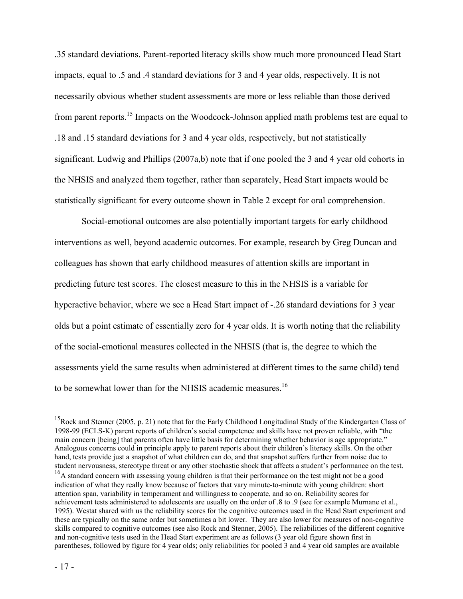.35 standard deviations. Parent-reported literacy skills show much more pronounced Head Start impacts, equal to .5 and .4 standard deviations for 3 and 4 year olds, respectively. It is not necessarily obvious whether student assessments are more or less reliable than those derived from parent reports.<sup>15</sup> Impacts on the Woodcock-Johnson applied math problems test are equal to .18 and .15 standard deviations for 3 and 4 year olds, respectively, but not statistically significant. Ludwig and Phillips (2007a,b) note that if one pooled the 3 and 4 year old cohorts in the NHSIS and analyzed them together, rather than separately, Head Start impacts would be statistically significant for every outcome shown in Table 2 except for oral comprehension.

Social-emotional outcomes are also potentially important targets for early childhood interventions as well, beyond academic outcomes. For example, research by Greg Duncan and colleagues has shown that early childhood measures of attention skills are important in predicting future test scores. The closest measure to this in the NHSIS is a variable for hyperactive behavior, where we see a Head Start impact of -.26 standard deviations for 3 year olds but a point estimate of essentially zero for 4 year olds. It is worth noting that the reliability of the social-emotional measures collected in the NHSIS (that is, the degree to which the assessments yield the same results when administered at different times to the same child) tend to be somewhat lower than for the NHSIS academic measures.<sup>16</sup>

 $\overline{a}$ 

<sup>&</sup>lt;sup>15</sup>Rock and Stenner (2005, p. 21) note that for the Early Childhood Longitudinal Study of the Kindergarten Class of 1998-99 (ECLS-K) parent reports of children's social competence and skills have not proven reliable, with "the main concern [being] that parents often have little basis for determining whether behavior is age appropriate." Analogous concerns could in principle apply to parent reports about their children's literacy skills. On the other hand, tests provide just a snapshot of what children can do, and that snapshot suffers further from noise due to student nervousness, stereotype threat or any other stochastic shock that affects a student's performance on the test.

<sup>&</sup>lt;sup>16</sup>A standard concern with assessing young children is that their performance on the test might not be a good indication of what they really know because of factors that vary minute-to-minute with young children: short attention span, variability in temperament and willingness to cooperate, and so on. Reliability scores for achievement tests administered to adolescents are usually on the order of .8 to .9 (see for example Murnane et al., 1995). Westat shared with us the reliability scores for the cognitive outcomes used in the Head Start experiment and these are typically on the same order but sometimes a bit lower. They are also lower for measures of non-cognitive skills compared to cognitive outcomes (see also Rock and Stenner, 2005). The reliabilities of the different cognitive and non-cognitive tests used in the Head Start experiment are as follows (3 year old figure shown first in parentheses, followed by figure for 4 year olds; only reliabilities for pooled 3 and 4 year old samples are available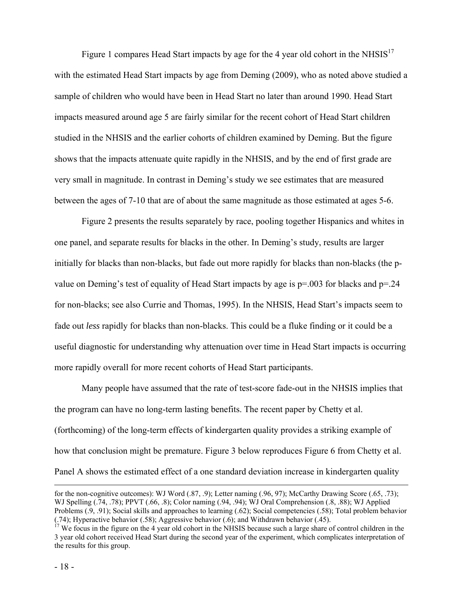Figure 1 compares Head Start impacts by age for the 4 year old cohort in the NHSIS<sup>17</sup> with the estimated Head Start impacts by age from Deming (2009), who as noted above studied a sample of children who would have been in Head Start no later than around 1990. Head Start impacts measured around age 5 are fairly similar for the recent cohort of Head Start children studied in the NHSIS and the earlier cohorts of children examined by Deming. But the figure shows that the impacts attenuate quite rapidly in the NHSIS, and by the end of first grade are very small in magnitude. In contrast in Deming's study we see estimates that are measured between the ages of 7-10 that are of about the same magnitude as those estimated at ages 5-6.

Figure 2 presents the results separately by race, pooling together Hispanics and whites in one panel, and separate results for blacks in the other. In Deming's study, results are larger initially for blacks than non-blacks, but fade out more rapidly for blacks than non-blacks (the pvalue on Deming's test of equality of Head Start impacts by age is  $p=0.003$  for blacks and  $p=24$ for non-blacks; see also Currie and Thomas, 1995). In the NHSIS, Head Start's impacts seem to fade out *less* rapidly for blacks than non-blacks. This could be a fluke finding or it could be a useful diagnostic for understanding why attenuation over time in Head Start impacts is occurring more rapidly overall for more recent cohorts of Head Start participants.

Many people have assumed that the rate of test-score fade-out in the NHSIS implies that the program can have no long-term lasting benefits. The recent paper by Chetty et al. (forthcoming) of the long-term effects of kindergarten quality provides a striking example of how that conclusion might be premature. Figure 3 below reproduces Figure 6 from Chetty et al. Panel A shows the estimated effect of a one standard deviation increase in kindergarten quality

for the non-cognitive outcomes): WJ Word (.87, .9); Letter naming (.96, 97); McCarthy Drawing Score (.65, .73); WJ Spelling (.74, .78); PPVT (.66, .8); Color naming (.94, .94); WJ Oral Comprehension (.8, .88); WJ Applied Problems (.9, .91); Social skills and approaches to learning (.62); Social competencies (.58); Total problem behavior (.74); Hyperactive behavior (.58); Aggressive behavior (.6); and Withdrawn behavior (.45).

 $17$  We focus in the figure on the 4 year old cohort in the NHSIS because such a large share of control children in the 3 year old cohort received Head Start during the second year of the experiment, which complicates interpretation of the results for this group.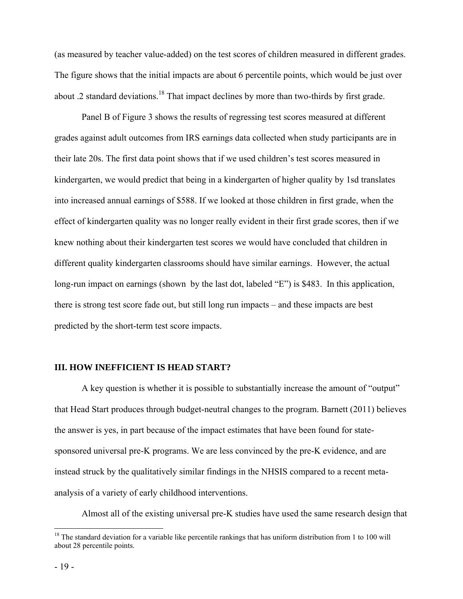(as measured by teacher value-added) on the test scores of children measured in different grades. The figure shows that the initial impacts are about 6 percentile points, which would be just over about .2 standard deviations.<sup>18</sup> That impact declines by more than two-thirds by first grade.

Panel B of Figure 3 shows the results of regressing test scores measured at different grades against adult outcomes from IRS earnings data collected when study participants are in their late 20s. The first data point shows that if we used children's test scores measured in kindergarten, we would predict that being in a kindergarten of higher quality by 1sd translates into increased annual earnings of \$588. If we looked at those children in first grade, when the effect of kindergarten quality was no longer really evident in their first grade scores, then if we knew nothing about their kindergarten test scores we would have concluded that children in different quality kindergarten classrooms should have similar earnings. However, the actual long-run impact on earnings (shown by the last dot, labeled "E") is \$483. In this application, there is strong test score fade out, but still long run impacts – and these impacts are best predicted by the short-term test score impacts.

#### **III. HOW INEFFICIENT IS HEAD START?**

A key question is whether it is possible to substantially increase the amount of "output" that Head Start produces through budget-neutral changes to the program. Barnett (2011) believes the answer is yes, in part because of the impact estimates that have been found for statesponsored universal pre-K programs. We are less convinced by the pre-K evidence, and are instead struck by the qualitatively similar findings in the NHSIS compared to a recent metaanalysis of a variety of early childhood interventions.

Almost all of the existing universal pre-K studies have used the same research design that

 $\overline{a}$ 

 $18$  The standard deviation for a variable like percentile rankings that has uniform distribution from 1 to 100 will about 28 percentile points.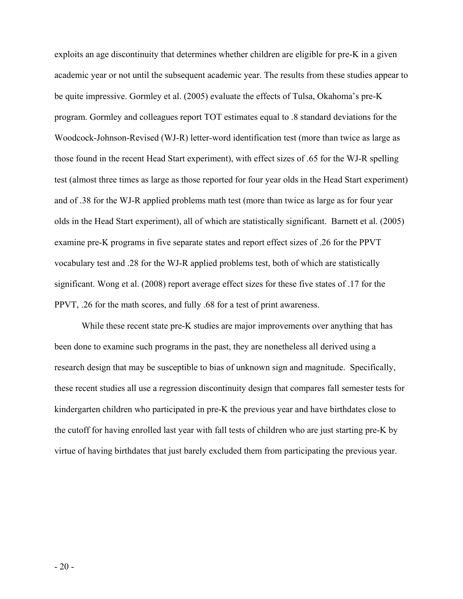exploits an age discontinuity that determines whether children are eligible for pre-K in a given academic year or not until the subsequent academic year. The results from these studies appear to be quite impressive. Gormley et al. (2005) evaluate the effects of Tulsa, Okahoma's pre-K program. Gormley and colleagues report TOT estimates equal to .8 standard deviations for the Woodcock-Johnson-Revised (WJ-R) letter-word identification test (more than twice as large as those found in the recent Head Start experiment), with effect sizes of .65 for the WJ-R spelling test (almost three times as large as those reported for four year olds in the Head Start experiment) and of .38 for the WJ-R applied problems math test (more than twice as large as for four year olds in the Head Start experiment), all of which are statistically significant. Barnett et al. (2005) examine pre-K programs in five separate states and report effect sizes of .26 for the PPVT vocabulary test and .28 for the WJ-R applied problems test, both of which are statistically significant. Wong et al. (2008) report average effect sizes for these five states of .17 for the PPVT, .26 for the math scores, and fully .68 for a test of print awareness.

While these recent state pre-K studies are major improvements over anything that has been done to examine such programs in the past, they are nonetheless all derived using a research design that may be susceptible to bias of unknown sign and magnitude. Specifically, these recent studies all use a regression discontinuity design that compares fall semester tests for kindergarten children who participated in pre-K the previous year and have birthdates close to the cutoff for having enrolled last year with fall tests of children who are just starting pre-K by virtue of having birthdates that just barely excluded them from participating the previous year.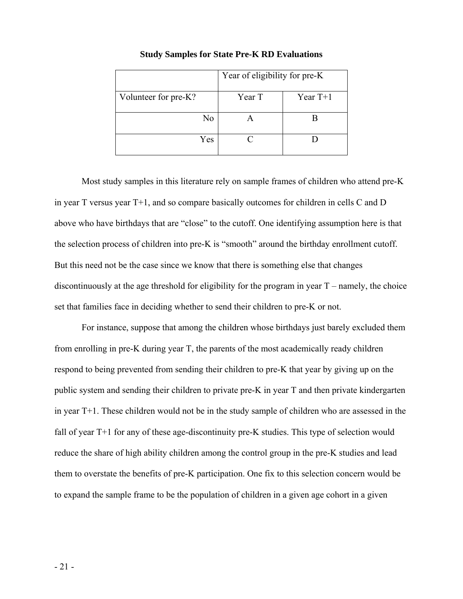|                      | Year of eligibility for pre-K |            |  |  |
|----------------------|-------------------------------|------------|--|--|
| Volunteer for pre-K? | Year T                        | Year $T+1$ |  |  |
| No                   |                               |            |  |  |
| Yes                  |                               |            |  |  |

#### **Study Samples for State Pre-K RD Evaluations**

Most study samples in this literature rely on sample frames of children who attend pre-K in year T versus year T+1, and so compare basically outcomes for children in cells C and D above who have birthdays that are "close" to the cutoff. One identifying assumption here is that the selection process of children into pre-K is "smooth" around the birthday enrollment cutoff. But this need not be the case since we know that there is something else that changes discontinuously at the age threshold for eligibility for the program in year  $T$  – namely, the choice set that families face in deciding whether to send their children to pre-K or not.

For instance, suppose that among the children whose birthdays just barely excluded them from enrolling in pre-K during year T, the parents of the most academically ready children respond to being prevented from sending their children to pre-K that year by giving up on the public system and sending their children to private pre-K in year T and then private kindergarten in year T+1. These children would not be in the study sample of children who are assessed in the fall of year T+1 for any of these age-discontinuity pre-K studies. This type of selection would reduce the share of high ability children among the control group in the pre-K studies and lead them to overstate the benefits of pre-K participation. One fix to this selection concern would be to expand the sample frame to be the population of children in a given age cohort in a given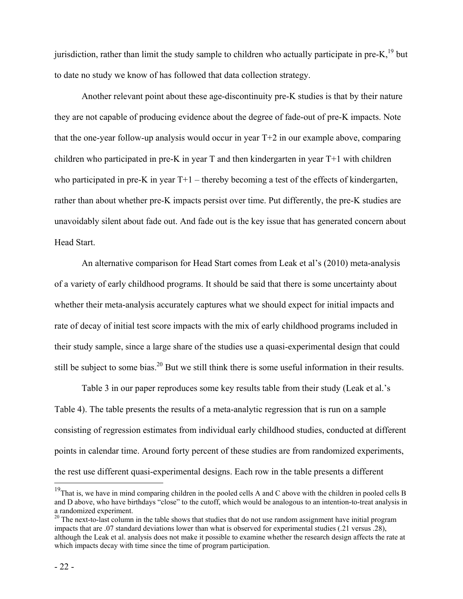jurisdiction, rather than limit the study sample to children who actually participate in pre-K, $^{19}$  but to date no study we know of has followed that data collection strategy.

Another relevant point about these age-discontinuity pre-K studies is that by their nature they are not capable of producing evidence about the degree of fade-out of pre-K impacts. Note that the one-year follow-up analysis would occur in year T+2 in our example above, comparing children who participated in pre-K in year T and then kindergarten in year T+1 with children who participated in pre-K in year  $T+1$  – thereby becoming a test of the effects of kindergarten, rather than about whether pre-K impacts persist over time. Put differently, the pre-K studies are unavoidably silent about fade out. And fade out is the key issue that has generated concern about Head Start.

 An alternative comparison for Head Start comes from Leak et al's (2010) meta-analysis of a variety of early childhood programs. It should be said that there is some uncertainty about whether their meta-analysis accurately captures what we should expect for initial impacts and rate of decay of initial test score impacts with the mix of early childhood programs included in their study sample, since a large share of the studies use a quasi-experimental design that could still be subject to some bias.<sup>20</sup> But we still think there is some useful information in their results.

Table 3 in our paper reproduces some key results table from their study (Leak et al.'s Table 4). The table presents the results of a meta-analytic regression that is run on a sample consisting of regression estimates from individual early childhood studies, conducted at different points in calendar time. Around forty percent of these studies are from randomized experiments, the rest use different quasi-experimental designs. Each row in the table presents a different

1

<sup>&</sup>lt;sup>19</sup>That is, we have in mind comparing children in the pooled cells A and C above with the children in pooled cells B and D above, who have birthdays "close" to the cutoff, which would be analogous to an intention-to-treat analysis in a randomized experiment.

 $20$  The next-to-last column in the table shows that studies that do not use random assignment have initial program impacts that are .07 standard deviations lower than what is observed for experimental studies (.21 versus .28), although the Leak et al. analysis does not make it possible to examine whether the research design affects the rate at which impacts decay with time since the time of program participation.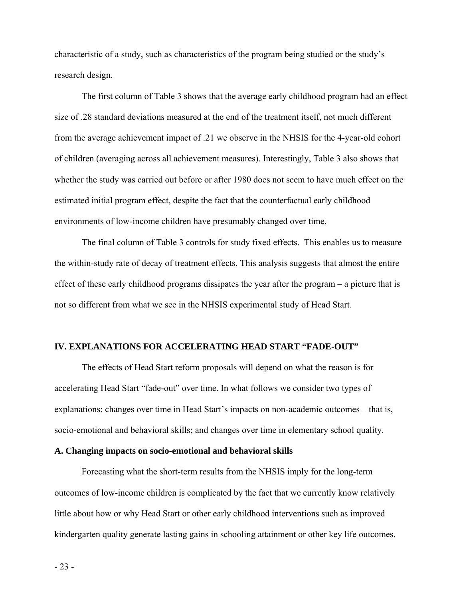characteristic of a study, such as characteristics of the program being studied or the study's research design.

The first column of Table 3 shows that the average early childhood program had an effect size of .28 standard deviations measured at the end of the treatment itself, not much different from the average achievement impact of .21 we observe in the NHSIS for the 4-year-old cohort of children (averaging across all achievement measures). Interestingly, Table 3 also shows that whether the study was carried out before or after 1980 does not seem to have much effect on the estimated initial program effect, despite the fact that the counterfactual early childhood environments of low-income children have presumably changed over time.

The final column of Table 3 controls for study fixed effects. This enables us to measure the within-study rate of decay of treatment effects. This analysis suggests that almost the entire effect of these early childhood programs dissipates the year after the program – a picture that is not so different from what we see in the NHSIS experimental study of Head Start.

# **IV. EXPLANATIONS FOR ACCELERATING HEAD START "FADE-OUT"**

The effects of Head Start reform proposals will depend on what the reason is for accelerating Head Start "fade-out" over time. In what follows we consider two types of explanations: changes over time in Head Start's impacts on non-academic outcomes – that is, socio-emotional and behavioral skills; and changes over time in elementary school quality.

#### **A. Changing impacts on socio-emotional and behavioral skills**

Forecasting what the short-term results from the NHSIS imply for the long-term outcomes of low-income children is complicated by the fact that we currently know relatively little about how or why Head Start or other early childhood interventions such as improved kindergarten quality generate lasting gains in schooling attainment or other key life outcomes.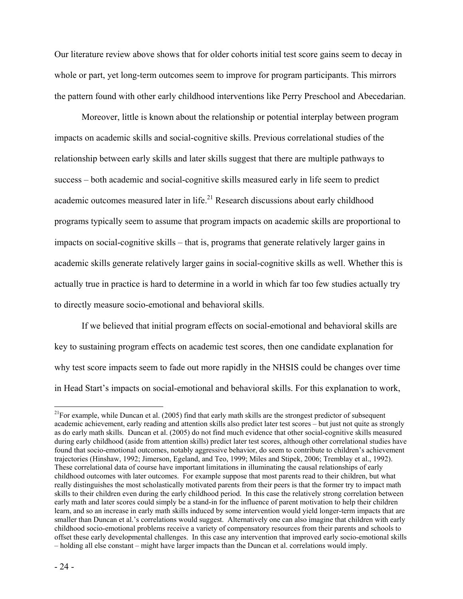Our literature review above shows that for older cohorts initial test score gains seem to decay in whole or part, yet long-term outcomes seem to improve for program participants. This mirrors the pattern found with other early childhood interventions like Perry Preschool and Abecedarian.

Moreover, little is known about the relationship or potential interplay between program impacts on academic skills and social-cognitive skills. Previous correlational studies of the relationship between early skills and later skills suggest that there are multiple pathways to success – both academic and social-cognitive skills measured early in life seem to predict academic outcomes measured later in life.<sup>21</sup> Research discussions about early childhood programs typically seem to assume that program impacts on academic skills are proportional to impacts on social-cognitive skills – that is, programs that generate relatively larger gains in academic skills generate relatively larger gains in social-cognitive skills as well. Whether this is actually true in practice is hard to determine in a world in which far too few studies actually try to directly measure socio-emotional and behavioral skills.

If we believed that initial program effects on social-emotional and behavioral skills are key to sustaining program effects on academic test scores, then one candidate explanation for why test score impacts seem to fade out more rapidly in the NHSIS could be changes over time in Head Start's impacts on social-emotional and behavioral skills. For this explanation to work,

 $\overline{a}$ 

 $^{21}$ For example, while Duncan et al. (2005) find that early math skills are the strongest predictor of subsequent academic achievement, early reading and attention skills also predict later test scores – but just not quite as strongly as do early math skills. Duncan et al. (2005) do not find much evidence that other social-cognitive skills measured during early childhood (aside from attention skills) predict later test scores, although other correlational studies have found that socio-emotional outcomes, notably aggressive behavior, do seem to contribute to children's achievement trajectories (Hinshaw, 1992; Jimerson, Egeland, and Teo, 1999; Miles and Stipek, 2006; Tremblay et al., 1992). These correlational data of course have important limitations in illuminating the causal relationships of early childhood outcomes with later outcomes. For example suppose that most parents read to their children, but what really distinguishes the most scholastically motivated parents from their peers is that the former try to impact math skills to their children even during the early childhood period. In this case the relatively strong correlation between early math and later scores could simply be a stand-in for the influence of parent motivation to help their children learn, and so an increase in early math skills induced by some intervention would yield longer-term impacts that are smaller than Duncan et al.'s correlations would suggest. Alternatively one can also imagine that children with early childhood socio-emotional problems receive a variety of compensatory resources from their parents and schools to offset these early developmental challenges. In this case any intervention that improved early socio-emotional skills – holding all else constant – might have larger impacts than the Duncan et al. correlations would imply.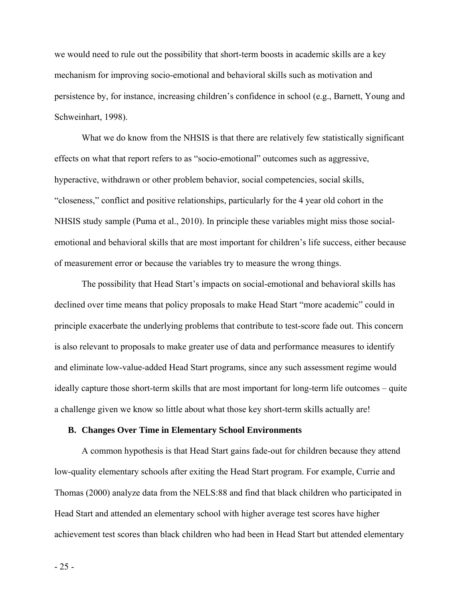we would need to rule out the possibility that short-term boosts in academic skills are a key mechanism for improving socio-emotional and behavioral skills such as motivation and persistence by, for instance, increasing children's confidence in school (e.g., Barnett, Young and Schweinhart, 1998).

What we do know from the NHSIS is that there are relatively few statistically significant effects on what that report refers to as "socio-emotional" outcomes such as aggressive, hyperactive, withdrawn or other problem behavior, social competencies, social skills, "closeness," conflict and positive relationships, particularly for the 4 year old cohort in the NHSIS study sample (Puma et al., 2010). In principle these variables might miss those socialemotional and behavioral skills that are most important for children's life success, either because of measurement error or because the variables try to measure the wrong things.

The possibility that Head Start's impacts on social-emotional and behavioral skills has declined over time means that policy proposals to make Head Start "more academic" could in principle exacerbate the underlying problems that contribute to test-score fade out. This concern is also relevant to proposals to make greater use of data and performance measures to identify and eliminate low-value-added Head Start programs, since any such assessment regime would ideally capture those short-term skills that are most important for long-term life outcomes – quite a challenge given we know so little about what those key short-term skills actually are!

# **B. Changes Over Time in Elementary School Environments**

A common hypothesis is that Head Start gains fade-out for children because they attend low-quality elementary schools after exiting the Head Start program. For example, Currie and Thomas (2000) analyze data from the NELS:88 and find that black children who participated in Head Start and attended an elementary school with higher average test scores have higher achievement test scores than black children who had been in Head Start but attended elementary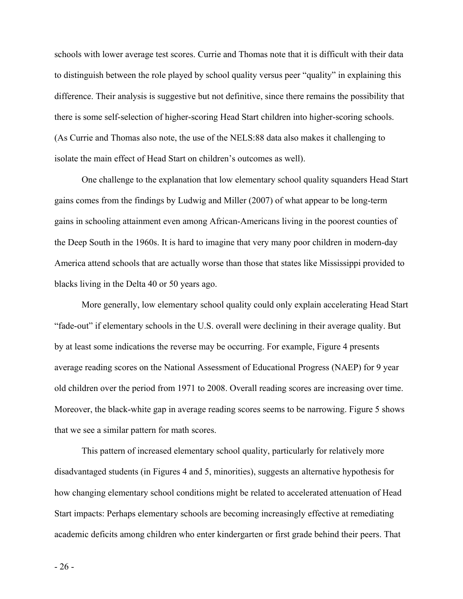schools with lower average test scores. Currie and Thomas note that it is difficult with their data to distinguish between the role played by school quality versus peer "quality" in explaining this difference. Their analysis is suggestive but not definitive, since there remains the possibility that there is some self-selection of higher-scoring Head Start children into higher-scoring schools. (As Currie and Thomas also note, the use of the NELS:88 data also makes it challenging to isolate the main effect of Head Start on children's outcomes as well).

One challenge to the explanation that low elementary school quality squanders Head Start gains comes from the findings by Ludwig and Miller (2007) of what appear to be long-term gains in schooling attainment even among African-Americans living in the poorest counties of the Deep South in the 1960s. It is hard to imagine that very many poor children in modern-day America attend schools that are actually worse than those that states like Mississippi provided to blacks living in the Delta 40 or 50 years ago.

More generally, low elementary school quality could only explain accelerating Head Start "fade-out" if elementary schools in the U.S. overall were declining in their average quality. But by at least some indications the reverse may be occurring. For example, Figure 4 presents average reading scores on the National Assessment of Educational Progress (NAEP) for 9 year old children over the period from 1971 to 2008. Overall reading scores are increasing over time. Moreover, the black-white gap in average reading scores seems to be narrowing. Figure 5 shows that we see a similar pattern for math scores.

This pattern of increased elementary school quality, particularly for relatively more disadvantaged students (in Figures 4 and 5, minorities), suggests an alternative hypothesis for how changing elementary school conditions might be related to accelerated attenuation of Head Start impacts: Perhaps elementary schools are becoming increasingly effective at remediating academic deficits among children who enter kindergarten or first grade behind their peers. That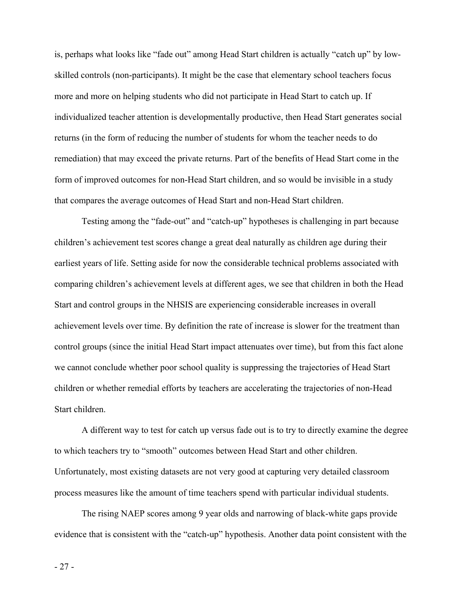is, perhaps what looks like "fade out" among Head Start children is actually "catch up" by lowskilled controls (non-participants). It might be the case that elementary school teachers focus more and more on helping students who did not participate in Head Start to catch up. If individualized teacher attention is developmentally productive, then Head Start generates social returns (in the form of reducing the number of students for whom the teacher needs to do remediation) that may exceed the private returns. Part of the benefits of Head Start come in the form of improved outcomes for non-Head Start children, and so would be invisible in a study that compares the average outcomes of Head Start and non-Head Start children.

Testing among the "fade-out" and "catch-up" hypotheses is challenging in part because children's achievement test scores change a great deal naturally as children age during their earliest years of life. Setting aside for now the considerable technical problems associated with comparing children's achievement levels at different ages, we see that children in both the Head Start and control groups in the NHSIS are experiencing considerable increases in overall achievement levels over time. By definition the rate of increase is slower for the treatment than control groups (since the initial Head Start impact attenuates over time), but from this fact alone we cannot conclude whether poor school quality is suppressing the trajectories of Head Start children or whether remedial efforts by teachers are accelerating the trajectories of non-Head Start children.

A different way to test for catch up versus fade out is to try to directly examine the degree to which teachers try to "smooth" outcomes between Head Start and other children. Unfortunately, most existing datasets are not very good at capturing very detailed classroom process measures like the amount of time teachers spend with particular individual students.

The rising NAEP scores among 9 year olds and narrowing of black-white gaps provide evidence that is consistent with the "catch-up" hypothesis. Another data point consistent with the

- 27 -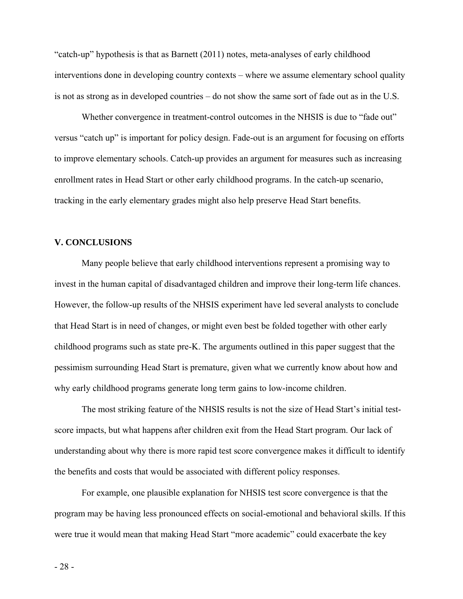"catch-up" hypothesis is that as Barnett (2011) notes, meta-analyses of early childhood interventions done in developing country contexts – where we assume elementary school quality is not as strong as in developed countries – do not show the same sort of fade out as in the U.S.

Whether convergence in treatment-control outcomes in the NHSIS is due to "fade out" versus "catch up" is important for policy design. Fade-out is an argument for focusing on efforts to improve elementary schools. Catch-up provides an argument for measures such as increasing enrollment rates in Head Start or other early childhood programs. In the catch-up scenario, tracking in the early elementary grades might also help preserve Head Start benefits.

## **V. CONCLUSIONS**

 Many people believe that early childhood interventions represent a promising way to invest in the human capital of disadvantaged children and improve their long-term life chances. However, the follow-up results of the NHSIS experiment have led several analysts to conclude that Head Start is in need of changes, or might even best be folded together with other early childhood programs such as state pre-K. The arguments outlined in this paper suggest that the pessimism surrounding Head Start is premature, given what we currently know about how and why early childhood programs generate long term gains to low-income children.

 The most striking feature of the NHSIS results is not the size of Head Start's initial testscore impacts, but what happens after children exit from the Head Start program. Our lack of understanding about why there is more rapid test score convergence makes it difficult to identify the benefits and costs that would be associated with different policy responses.

 For example, one plausible explanation for NHSIS test score convergence is that the program may be having less pronounced effects on social-emotional and behavioral skills. If this were true it would mean that making Head Start "more academic" could exacerbate the key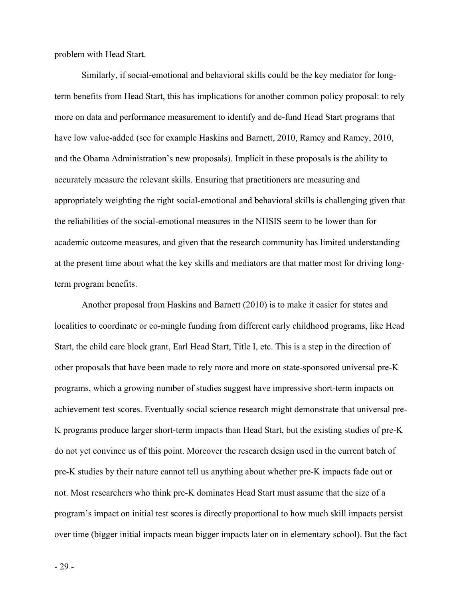problem with Head Start.

 Similarly, if social-emotional and behavioral skills could be the key mediator for longterm benefits from Head Start, this has implications for another common policy proposal: to rely more on data and performance measurement to identify and de-fund Head Start programs that have low value-added (see for example Haskins and Barnett, 2010, Ramey and Ramey, 2010, and the Obama Administration's new proposals). Implicit in these proposals is the ability to accurately measure the relevant skills. Ensuring that practitioners are measuring and appropriately weighting the right social-emotional and behavioral skills is challenging given that the reliabilities of the social-emotional measures in the NHSIS seem to be lower than for academic outcome measures, and given that the research community has limited understanding at the present time about what the key skills and mediators are that matter most for driving longterm program benefits.

 Another proposal from Haskins and Barnett (2010) is to make it easier for states and localities to coordinate or co-mingle funding from different early childhood programs, like Head Start, the child care block grant, Earl Head Start, Title I, etc. This is a step in the direction of other proposals that have been made to rely more and more on state-sponsored universal pre-K programs, which a growing number of studies suggest have impressive short-term impacts on achievement test scores. Eventually social science research might demonstrate that universal pre-K programs produce larger short-term impacts than Head Start, but the existing studies of pre-K do not yet convince us of this point. Moreover the research design used in the current batch of pre-K studies by their nature cannot tell us anything about whether pre-K impacts fade out or not. Most researchers who think pre-K dominates Head Start must assume that the size of a program's impact on initial test scores is directly proportional to how much skill impacts persist over time (bigger initial impacts mean bigger impacts later on in elementary school). But the fact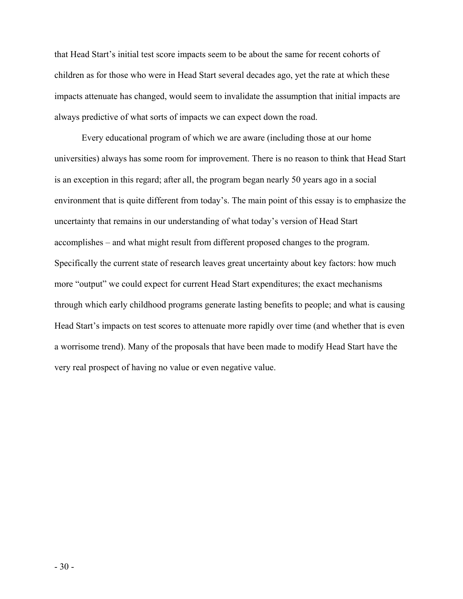that Head Start's initial test score impacts seem to be about the same for recent cohorts of children as for those who were in Head Start several decades ago, yet the rate at which these impacts attenuate has changed, would seem to invalidate the assumption that initial impacts are always predictive of what sorts of impacts we can expect down the road.

 Every educational program of which we are aware (including those at our home universities) always has some room for improvement. There is no reason to think that Head Start is an exception in this regard; after all, the program began nearly 50 years ago in a social environment that is quite different from today's. The main point of this essay is to emphasize the uncertainty that remains in our understanding of what today's version of Head Start accomplishes – and what might result from different proposed changes to the program. Specifically the current state of research leaves great uncertainty about key factors: how much more "output" we could expect for current Head Start expenditures; the exact mechanisms through which early childhood programs generate lasting benefits to people; and what is causing Head Start's impacts on test scores to attenuate more rapidly over time (and whether that is even a worrisome trend). Many of the proposals that have been made to modify Head Start have the very real prospect of having no value or even negative value.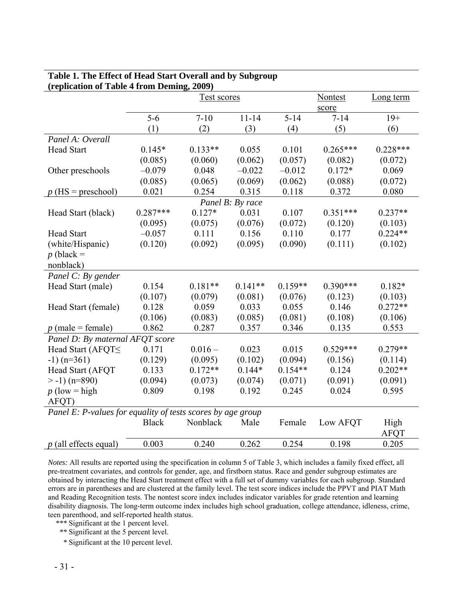| (replication of Table 4 from Deming, 2009)                  |              |                    |                  |           |                |             |
|-------------------------------------------------------------|--------------|--------------------|------------------|-----------|----------------|-------------|
|                                                             |              | <b>Test scores</b> |                  |           | <b>Nontest</b> | Long term   |
|                                                             |              |                    |                  |           | score          |             |
|                                                             | $5-6$        | $7 - 10$           | $11 - 14$        | $5 - 14$  | $7 - 14$       | $19+$       |
|                                                             | (1)          | (2)                | (3)              | (4)       | (5)            | (6)         |
| Panel A: Overall                                            |              |                    |                  |           |                |             |
| <b>Head Start</b>                                           | $0.145*$     | $0.133**$          | 0.055            | 0.101     | $0.265***$     | $0.228***$  |
|                                                             | (0.085)      | (0.060)            | (0.062)          | (0.057)   | (0.082)        | (0.072)     |
| Other preschools                                            | $-0.079$     | 0.048              | $-0.022$         | $-0.012$  | $0.172*$       | 0.069       |
|                                                             | (0.085)      | (0.065)            | (0.069)          | (0.062)   | (0.088)        | (0.072)     |
| $p$ (HS = preschool)                                        | 0.021        | 0.254              | 0.315            | 0.118     | 0.372          | 0.080       |
|                                                             |              |                    | Panel B: By race |           |                |             |
| Head Start (black)                                          | $0.287***$   | $0.127*$           | 0.031            | 0.107     | $0.351***$     | $0.237**$   |
|                                                             | (0.095)      | (0.075)            | (0.076)          | (0.072)   | (0.120)        | (0.103)     |
| <b>Head Start</b>                                           | $-0.057$     | 0.111              | 0.156            | 0.110     | 0.177          | $0.224**$   |
| (white/Hispanic)                                            | (0.120)      | (0.092)            | (0.095)          | (0.090)   | (0.111)        | (0.102)     |
| $p$ (black =                                                |              |                    |                  |           |                |             |
| nonblack)                                                   |              |                    |                  |           |                |             |
| Panel C: By gender                                          |              |                    |                  |           |                |             |
| Head Start (male)                                           | 0.154        | $0.181**$          | $0.141**$        | $0.159**$ | $0.390***$     | $0.182*$    |
|                                                             | (0.107)      | (0.079)            | (0.081)          | (0.076)   | (0.123)        | (0.103)     |
| Head Start (female)                                         | 0.128        | 0.059              | 0.033            | 0.055     | 0.146          | $0.272**$   |
|                                                             | (0.106)      | (0.083)            | (0.085)          | (0.081)   | (0.108)        | (0.106)     |
| $p$ (male = female)                                         | 0.862        | 0.287              | 0.357            | 0.346     | 0.135          | 0.553       |
| Panel D: By maternal AFQT score                             |              |                    |                  |           |                |             |
| Head Start (AFQTS                                           | 0.171        | $0.016 -$          | 0.023            | 0.015     | $0.529***$     | $0.279**$   |
| $-1)$ (n=361)                                               | (0.129)      | (0.095)            | (0.102)          | (0.094)   | (0.156)        | (0.114)     |
| Head Start (AFQT                                            | 0.133        | $0.172**$          | $0.144*$         | $0.154**$ | 0.124          | $0.202**$   |
| $> -1)$ (n=890)                                             | (0.094)      | (0.073)            | (0.074)          | (0.071)   | (0.091)        | (0.091)     |
| $p$ (low = high                                             | 0.809        | 0.198              | 0.192            | 0.245     | 0.024          | 0.595       |
| AFQT)                                                       |              |                    |                  |           |                |             |
| Panel E: P-values for equality of tests scores by age group |              |                    |                  |           |                |             |
|                                                             | <b>Black</b> | Nonblack           | Male             | Female    | Low AFQT       | High        |
|                                                             |              |                    |                  |           |                | <b>AFQT</b> |
| $p$ (all effects equal)                                     | 0.003        | 0.240              | 0.262            | 0.254     | 0.198          | 0.205       |

# **Table 1. The Effect of Head Start Overall and by Subgroup**

*Notes:* All results are reported using the specification in column 5 of Table 3, which includes a family fixed effect, all pre-treatment covariates, and controls for gender, age, and firstborn status. Race and gender subgroup estimates are obtained by interacting the Head Start treatment effect with a full set of dummy variables for each subgroup. Standard errors are in parentheses and are clustered at the family level. The test score indices include the PPVT and PIAT Math and Reading Recognition tests. The nontest score index includes indicator variables for grade retention and learning disability diagnosis. The long-term outcome index includes high school graduation, college attendance, idleness, crime, teen parenthood, and self-reported health status.

 *\*\*\** Significant at the 1 percent level.

- *\*\** Significant at the 5 percent level.
- *\** Significant at the 10 percent level.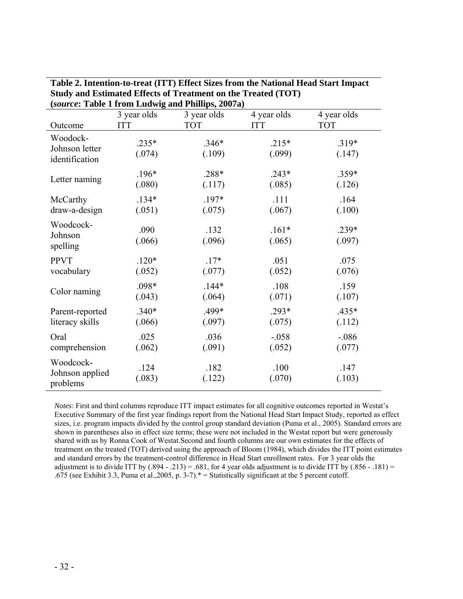|                                              |                   | $(\text{source: Ia}$ and I from Equivignant I minps, 2007a) |                   |                   |
|----------------------------------------------|-------------------|-------------------------------------------------------------|-------------------|-------------------|
|                                              | 3 year olds       | 3 year olds                                                 | 4 year olds       | 4 year olds       |
| Outcome                                      | <b>ITT</b>        | <b>TOT</b>                                                  | <b>ITT</b>        | <b>TOT</b>        |
| Woodock-<br>Johnson letter<br>identification | $.235*$<br>(.074) | $.346*$<br>(.109)                                           | $.215*$<br>(.099) | $.319*$<br>(.147) |
| Letter naming                                | $.196*$           | .288*                                                       | $.243*$           | .359*             |
|                                              | (.080)            | (.117)                                                      | (.085)            | (.126)            |
| McCarthy                                     | $.134*$           | .197*                                                       | .111              | .164              |
| draw-a-design                                | (.051)            | (.075)                                                      | (.067)            | (.100)            |
| Woodcock-<br>Johnson<br>spelling             | .090<br>(.066)    | .132<br>(.096)                                              | $.161*$<br>(.065) | .239*<br>(.097)   |
| <b>PPVT</b>                                  | $.120*$           | $.17*$                                                      | .051              | .075              |
| vocabulary                                   | (.052)            | (.077)                                                      | (.052)            | (.076)            |
| Color naming                                 | .098*             | $.144*$                                                     | .108              | .159              |
|                                              | (.043)            | (.064)                                                      | (.071)            | (.107)            |
| Parent-reported                              | $.340*$           | .499*                                                       | $.293*$           | .435*             |
| literacy skills                              | (.066)            | (.097)                                                      | (.075)            | (.112)            |
| Oral                                         | .025              | .036                                                        | $-.058$           | $-0.086$          |
| comprehension                                | (.062)            | (.091)                                                      | (.052)            | (.077)            |
| Woodcock-<br>Johnson applied<br>problems     | .124<br>(.083)    | .182<br>(.122)                                              | .100<br>(.070)    | .147<br>(.103)    |

**Table 2. Intention-to-treat (ITT) Effect Sizes from the National Head Start Impact Study and Estimated Effects of Treatment on the Treated (TOT) (***source***: Table 1 from Ludwig and Phillips, 2007a)**

*Notes*: First and third columns reproduce ITT impact estimates for all cognitive outcomes reported in Westat's Executive Summary of the first year findings report from the National Head Start Impact Study, reported as effect sizes, i.e. program impacts divided by the control group standard deviation (Puma et al., 2005). Standard errors are shown in parentheses also in effect size terms; these were not included in the Westat report but were generously shared with us by Ronna Cook of Westat.Second and fourth columns are our own estimates for the effects of treatment on the treated (TOT) derived using the approach of Bloom (1984), which divides the ITT point estimates and standard errors by the treatment-control difference in Head Start enrollment rates. For 3 year olds the adjustment is to divide ITT by  $(.894 - .213) = .681$ , for 4 year olds adjustment is to divide ITT by  $(.856 - .181) =$ .675 (see Exhibit 3.3, Puma et al.,2005, p. 3-7).\* = Statistically significant at the 5 percent cutoff.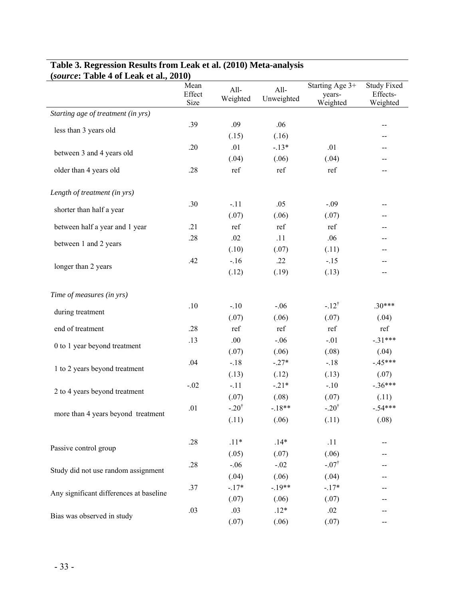| (source: Table 4 of Leak et al., 2010)  |                        |                  |                    |                                       |                                            |  |
|-----------------------------------------|------------------------|------------------|--------------------|---------------------------------------|--------------------------------------------|--|
|                                         | Mean<br>Effect<br>Size | All-<br>Weighted | All-<br>Unweighted | Starting Age 3+<br>years-<br>Weighted | <b>Study Fixed</b><br>Effects-<br>Weighted |  |
| Starting age of treatment (in yrs)      |                        |                  |                    |                                       |                                            |  |
|                                         | .39                    | .09              | .06                |                                       | --                                         |  |
| less than 3 years old                   |                        | (.15)            | (.16)              |                                       | $-$                                        |  |
|                                         | .20                    | .01              | $-.13*$            | .01                                   | --                                         |  |
| between 3 and 4 years old               |                        | (.04)            | (.06)              | (.04)                                 | $-$                                        |  |
| older than 4 years old                  | .28                    | ref              | ref                | ref                                   | --                                         |  |
| Length of treatment (in yrs)            |                        |                  |                    |                                       |                                            |  |
| shorter than half a year                | .30                    | $-.11$           | .05                | $-.09$                                | --                                         |  |
|                                         |                        | (.07)            | (.06)              | (.07)                                 | --                                         |  |
| between half a year and 1 year          | .21                    | ref              | ref                | ref                                   | --                                         |  |
| between 1 and 2 years                   | .28                    | .02              | .11                | .06                                   | $-$                                        |  |
|                                         |                        | (.10)            | (.07)              | (.11)                                 | --                                         |  |
| longer than 2 years                     | .42                    | $-16$            | .22                | $-15$                                 | --                                         |  |
|                                         |                        | (.12)            | (.19)              | (.13)                                 | $-$                                        |  |
| Time of measures (in yrs)               |                        |                  |                    |                                       |                                            |  |
| during treatment                        | .10                    | $-.10$           | $-.06$             | $-12^{\dagger}$                       | $.30***$                                   |  |
|                                         |                        | (.07)            | (.06)              | (.07)                                 | (.04)                                      |  |
| end of treatment                        | .28                    | ref              | ref                | ref                                   | ref                                        |  |
| 0 to 1 year beyond treatment            | .13                    | .00.             | $-.06$             | $-.01$                                | $-.31***$                                  |  |
|                                         |                        | (.07)            | (.06)              | (.08)                                 | (.04)                                      |  |
| 1 to 2 years beyond treatment           | .04                    | $-.18$           | $-.27*$            | $-18$                                 | $-.45***$                                  |  |
|                                         |                        | (.13)            | (.12)              | (.13)                                 | (.07)                                      |  |
| 2 to 4 years beyond treatment           | $-.02$                 | $-.11$           | $-21*$             | $-.10$                                | $-.36***$                                  |  |
|                                         |                        | (.07)            | (.08)              | (.07)                                 | (.11)                                      |  |
| more than 4 years beyond treatment      | .01                    | $-.20^{\dagger}$ | $-.18**$           | $-.20^{\dagger}$                      | $-54***$                                   |  |
|                                         |                        | (.11)            | (.06)              | (.11)                                 | (.08)                                      |  |
| Passive control group                   | .28                    | $.11*$           | $.14*$             | .11                                   | --                                         |  |
|                                         |                        | (.05)            | (.07)              | (.06)                                 |                                            |  |
| Study did not use random assignment     | .28                    | $-.06$           | $-.02$             | $-.07^{\dagger}$                      |                                            |  |
|                                         |                        | (.04)            | (.06)              | (.04)                                 | --                                         |  |
| Any significant differences at baseline | .37                    | $-.17*$          | $-.19**$           | $-.17*$                               | --                                         |  |
|                                         |                        | (.07)            | (.06)              | (.07)                                 |                                            |  |
| Bias was observed in study              | .03                    | .03              | $.12*$             | .02                                   | --                                         |  |
|                                         |                        | (.07)            | (.06)              | (.07)                                 | --                                         |  |

# **Table 3. Regression Results from Leak et al. (2010) Meta-analysis**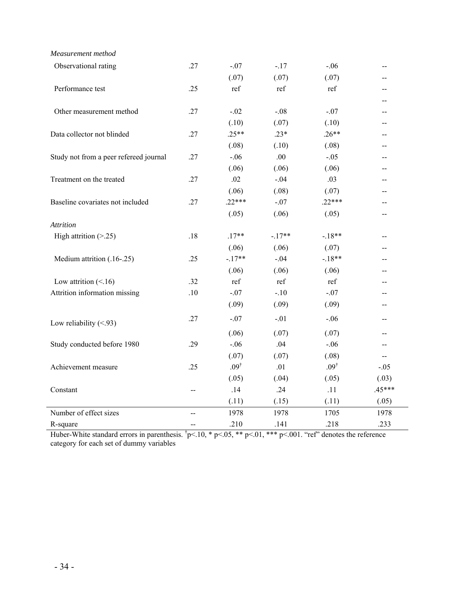| Measurement method                     |                   |                 |          |                 |          |
|----------------------------------------|-------------------|-----------------|----------|-----------------|----------|
| Observational rating                   | .27               | $-.07$          | $-.17$   | $-.06$          | $-$      |
|                                        |                   | (.07)           | (.07)    | (.07)           |          |
| Performance test                       | .25               | ref             | ref      | ref             |          |
|                                        |                   |                 |          |                 |          |
| Other measurement method               | .27               | $-.02$          | $-.08$   | $-.07$          | $-$      |
|                                        |                   | (.10)           | (.07)    | (.10)           | --       |
| Data collector not blinded             | .27               | $.25**$         | $.23*$   | $.26**$         |          |
|                                        |                   | (.08)           | (.10)    | (.08)           |          |
| Study not from a peer refereed journal | .27               | $-.06$          | .00.     | $-.05$          |          |
|                                        |                   | (.06)           | (.06)    | (.06)           | --       |
| Treatment on the treated               | .27               | .02             | $-.04$   | .03             |          |
|                                        |                   | (.06)           | (.08)    | (.07)           |          |
| Baseline covariates not included       | .27               | $.22***$        | $-.07$   | $.22***$        |          |
|                                        |                   | (.05)           | (.06)    | (.05)           | --       |
| <b>Attrition</b>                       |                   |                 |          |                 |          |
| High attrition $(> 25)$                | .18               | $.17**$         | $-.17**$ | $-18**$         | --       |
|                                        |                   | (.06)           | (.06)    | (.07)           |          |
| Medium attrition (.16-.25)             | .25               | $-.17**$        | $-.04$   | $-18**$         | --       |
|                                        |                   | (.06)           | (.06)    | (.06)           |          |
| Low attrition $(< 16)$                 | .32               | ref             | ref      | ref             |          |
| Attrition information missing          | .10               | $-.07$          | $-.10$   | $-.07$          | $-$      |
|                                        |                   | (.09)           | (.09)    | (.09)           | $-$      |
| Low reliability $(< 93)$               | .27               | $-.07$          | $-.01$   | $-.06$          | --       |
|                                        |                   | (.06)           | (.07)    | (.07)           | --       |
| Study conducted before 1980            | .29               | $-.06$          | .04      | $-.06$          | $-$      |
|                                        |                   | (.07)           | (.07)    | (.08)           | $-$      |
| Achievement measure                    | .25               | $.09^{\dagger}$ | .01      | $.09^{\dagger}$ | $-.05$   |
|                                        |                   | (.05)           | (.04)    | (.05)           | (.03)    |
| Constant                               | --                | .14             | .24      | .11             | $.45***$ |
|                                        |                   | (.11)           | (.15)    | (.11)           | (.05)    |
| Number of effect sizes                 | $\overline{a}$    | 1978            | 1978     | 1705            | 1978     |
| R-square                               | $\qquad \qquad -$ | .210            | .141     | .218            | .233     |

Huber-White standard errors in parenthesis.  $p<.10$ , \*  $p<.05$ , \*\*  $p<.01$ , \*\*\*  $p<.001$ . "ref" denotes the reference category for each set of dummy variables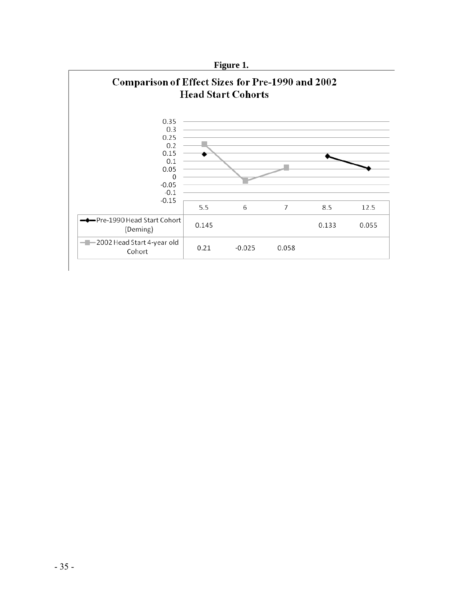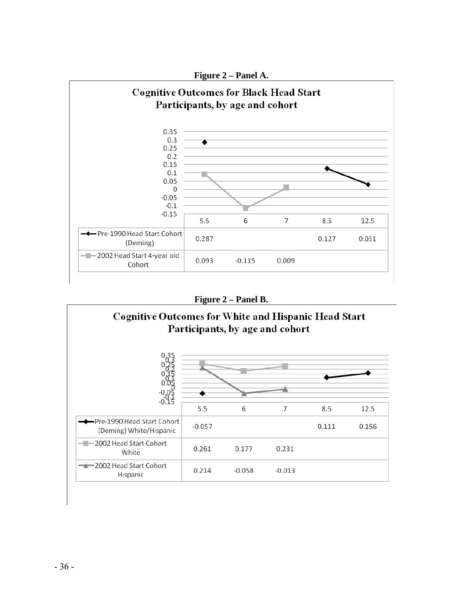

**Figure 2 – Panel B.** 

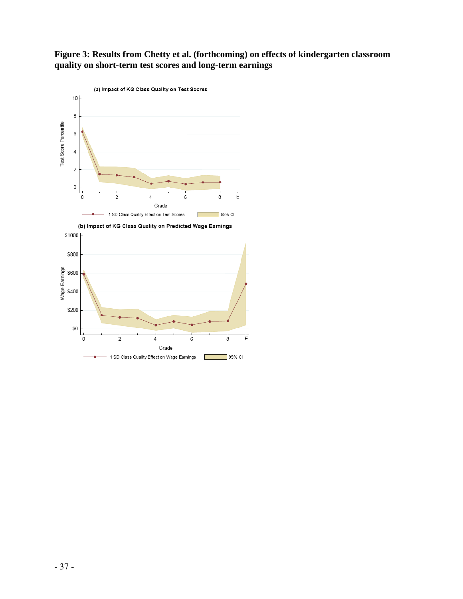# **Figure 3: Results from Chetty et al. (forthcoming) on effects of kindergarten classroom quality on short-term test scores and long-term earnings**



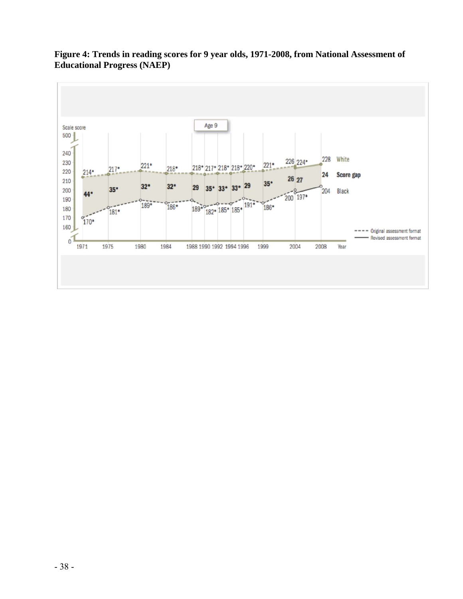

# **Figure 4: Trends in reading scores for 9 year olds, 1971-2008, from National Assessment of Educational Progress (NAEP)**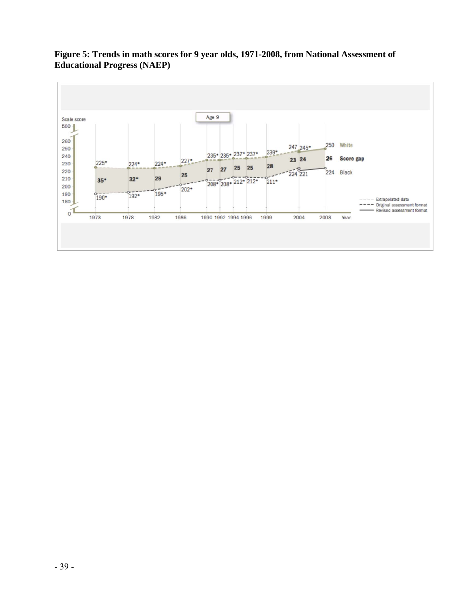

**Figure 5: Trends in math scores for 9 year olds, 1971-2008, from National Assessment of Educational Progress (NAEP)**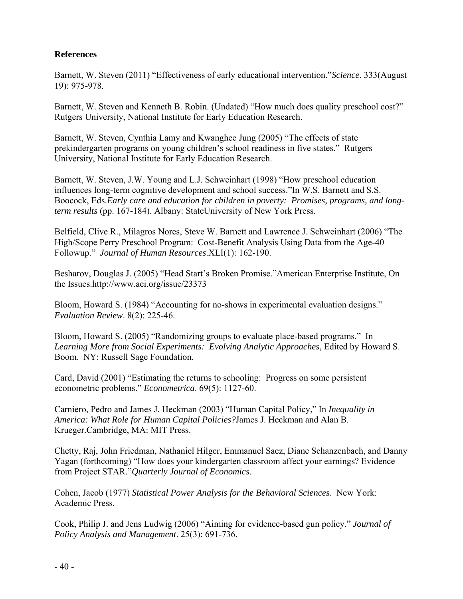# **References**

Barnett, W. Steven (2011) "Effectiveness of early educational intervention."*Science*. 333(August 19): 975-978.

Barnett, W. Steven and Kenneth B. Robin. (Undated) "How much does quality preschool cost?" Rutgers University, National Institute for Early Education Research.

Barnett, W. Steven, Cynthia Lamy and Kwanghee Jung (2005) "The effects of state prekindergarten programs on young children's school readiness in five states." Rutgers University, National Institute for Early Education Research.

Barnett, W. Steven, J.W. Young and L.J. Schweinhart (1998) "How preschool education influences long-term cognitive development and school success."In W.S. Barnett and S.S. Boocock, Eds.*Early care and education for children in poverty: Promises, programs, and longterm results* (pp. 167-184). Albany: StateUniversity of New York Press.

Belfield, Clive R., Milagros Nores, Steve W. Barnett and Lawrence J. Schweinhart (2006) "The High/Scope Perry Preschool Program: Cost-Benefit Analysis Using Data from the Age-40 Followup." *Journal of Human Resources*.XLI(1): 162-190.

Besharov, Douglas J. (2005) "Head Start's Broken Promise."American Enterprise Institute, On the Issues.http://www.aei.org/issue/23373

Bloom, Howard S. (1984) "Accounting for no-shows in experimental evaluation designs." *Evaluation Review*. 8(2): 225-46.

Bloom, Howard S. (2005) "Randomizing groups to evaluate place-based programs." In *Learning More from Social Experiments: Evolving Analytic Approaches*, Edited by Howard S. Boom. NY: Russell Sage Foundation.

Card, David (2001) "Estimating the returns to schooling: Progress on some persistent econometric problems." *Econometrica*. 69(5): 1127-60.

Carniero, Pedro and James J. Heckman (2003) "Human Capital Policy," In *Inequality in America: What Role for Human Capital Policies?*James J. Heckman and Alan B. Krueger.Cambridge, MA: MIT Press.

Chetty, Raj, John Friedman, Nathaniel Hilger, Emmanuel Saez, Diane Schanzenbach, and Danny Yagan (forthcoming) "How does your kindergarten classroom affect your earnings? Evidence from Project STAR."*Quarterly Journal of Economics*.

Cohen, Jacob (1977) *Statistical Power Analysis for the Behavioral Sciences*. New York: Academic Press.

Cook, Philip J. and Jens Ludwig (2006) "Aiming for evidence-based gun policy." *Journal of Policy Analysis and Management*. 25(3): 691-736.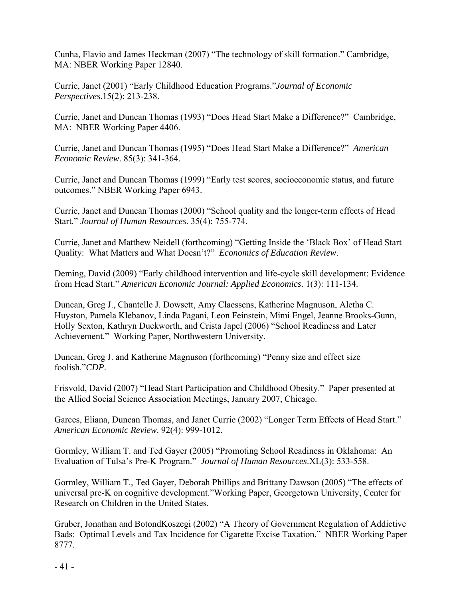Cunha, Flavio and James Heckman (2007) "The technology of skill formation." Cambridge, MA: NBER Working Paper 12840.

Currie, Janet (2001) "Early Childhood Education Programs."*Journal of Economic Perspectives*.15(2): 213-238.

Currie, Janet and Duncan Thomas (1993) "Does Head Start Make a Difference?" Cambridge, MA: NBER Working Paper 4406.

Currie, Janet and Duncan Thomas (1995) "Does Head Start Make a Difference?" *American Economic Review*. 85(3): 341-364.

Currie, Janet and Duncan Thomas (1999) "Early test scores, socioeconomic status, and future outcomes." NBER Working Paper 6943.

Currie, Janet and Duncan Thomas (2000) "School quality and the longer-term effects of Head Start." *Journal of Human Resources*. 35(4): 755-774.

Currie, Janet and Matthew Neidell (forthcoming) "Getting Inside the 'Black Box' of Head Start Quality: What Matters and What Doesn't?" *Economics of Education Review*.

Deming, David (2009) "Early childhood intervention and life-cycle skill development: Evidence from Head Start." *American Economic Journal: Applied Economics*. 1(3): 111-134.

Duncan, Greg J., Chantelle J. Dowsett, Amy Claessens, Katherine Magnuson, Aletha C. Huyston, Pamela Klebanov, Linda Pagani, Leon Feinstein, Mimi Engel, Jeanne Brooks-Gunn, Holly Sexton, Kathryn Duckworth, and Crista Japel (2006) "School Readiness and Later Achievement." Working Paper, Northwestern University.

Duncan, Greg J. and Katherine Magnuson (forthcoming) "Penny size and effect size foolish."*CDP*.

Frisvold, David (2007) "Head Start Participation and Childhood Obesity." Paper presented at the Allied Social Science Association Meetings, January 2007, Chicago.

Garces, Eliana, Duncan Thomas, and Janet Currie (2002) "Longer Term Effects of Head Start." *American Economic Review*. 92(4): 999-1012.

Gormley, William T. and Ted Gayer (2005) "Promoting School Readiness in Oklahoma: An Evaluation of Tulsa's Pre-K Program." *Journal of Human Resources*.XL(3): 533-558.

Gormley, William T., Ted Gayer, Deborah Phillips and Brittany Dawson (2005) "The effects of universal pre-K on cognitive development."Working Paper, Georgetown University, Center for Research on Children in the United States.

Gruber, Jonathan and BotondKoszegi (2002) "A Theory of Government Regulation of Addictive Bads: Optimal Levels and Tax Incidence for Cigarette Excise Taxation." NBER Working Paper 8777.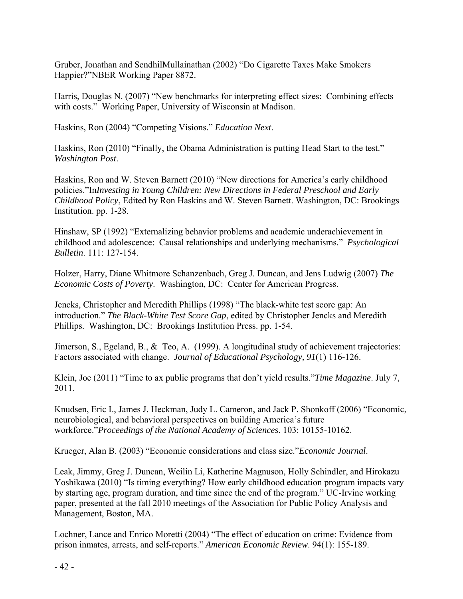Gruber, Jonathan and SendhilMullainathan (2002) "Do Cigarette Taxes Make Smokers Happier?"NBER Working Paper 8872.

Harris, Douglas N. (2007) "New benchmarks for interpreting effect sizes: Combining effects with costs." Working Paper, University of Wisconsin at Madison.

Haskins, Ron (2004) "Competing Visions." *Education Next*.

Haskins, Ron (2010) "Finally, the Obama Administration is putting Head Start to the test." *Washington Post*.

Haskins, Ron and W. Steven Barnett (2010) "New directions for America's early childhood policies."In*Investing in Young Children: New Directions in Federal Preschool and Early Childhood Policy*, Edited by Ron Haskins and W. Steven Barnett. Washington, DC: Brookings Institution. pp. 1-28.

Hinshaw, SP (1992) "Externalizing behavior problems and academic underachievement in childhood and adolescence: Causal relationships and underlying mechanisms." *Psychological Bulletin*. 111: 127-154.

Holzer, Harry, Diane Whitmore Schanzenbach, Greg J. Duncan, and Jens Ludwig (2007) *The Economic Costs of Poverty*. Washington, DC: Center for American Progress.

Jencks, Christopher and Meredith Phillips (1998) "The black-white test score gap: An introduction." *The Black-White Test Score Gap*, edited by Christopher Jencks and Meredith Phillips. Washington, DC: Brookings Institution Press. pp. 1-54.

Jimerson, S., Egeland, B., & Teo, A. (1999). A longitudinal study of achievement trajectories: Factors associated with change. *Journal of Educational Psychology, 91*(1) 116-126.

Klein, Joe (2011) "Time to ax public programs that don't yield results."*Time Magazine*. July 7, 2011.

Knudsen, Eric I., James J. Heckman, Judy L. Cameron, and Jack P. Shonkoff (2006) "Economic, neurobiological, and behavioral perspectives on building America's future workforce."*Proceedings of the National Academy of Sciences*. 103: 10155-10162.

Krueger, Alan B. (2003) "Economic considerations and class size."*Economic Journal*.

Leak, Jimmy, Greg J. Duncan, Weilin Li, Katherine Magnuson, Holly Schindler, and Hirokazu Yoshikawa (2010) "Is timing everything? How early childhood education program impacts vary by starting age, program duration, and time since the end of the program." UC-Irvine working paper, presented at the fall 2010 meetings of the Association for Public Policy Analysis and Management, Boston, MA.

Lochner, Lance and Enrico Moretti (2004) "The effect of education on crime: Evidence from prison inmates, arrests, and self-reports." *American Economic Review*. 94(1): 155-189.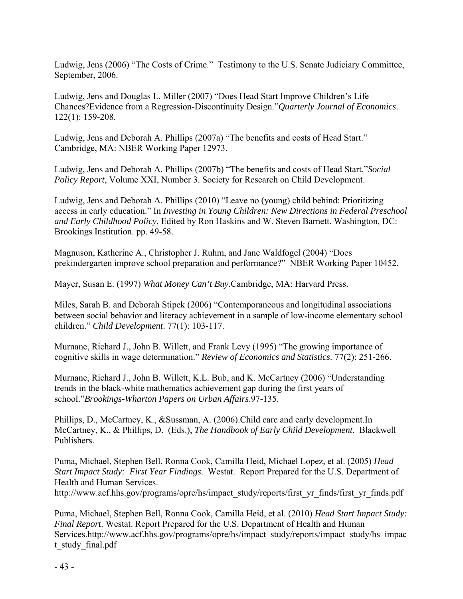Ludwig, Jens (2006) "The Costs of Crime." Testimony to the U.S. Senate Judiciary Committee, September, 2006.

Ludwig, Jens and Douglas L. Miller (2007) "Does Head Start Improve Children's Life Chances?Evidence from a Regression-Discontinuity Design."*Quarterly Journal of Economics*. 122(1): 159-208.

Ludwig, Jens and Deborah A. Phillips (2007a) "The benefits and costs of Head Start." Cambridge, MA: NBER Working Paper 12973.

Ludwig, Jens and Deborah A. Phillips (2007b) "The benefits and costs of Head Start."*Social Policy Report*, Volume XXI, Number 3. Society for Research on Child Development.

Ludwig, Jens and Deborah A. Phillips (2010) "Leave no (young) child behind: Prioritizing access in early education." In *Investing in Young Children: New Directions in Federal Preschool and Early Childhood Policy*, Edited by Ron Haskins and W. Steven Barnett. Washington, DC: Brookings Institution. pp. 49-58.

Magnuson, Katherine A., Christopher J. Ruhm, and Jane Waldfogel (2004) "Does prekindergarten improve school preparation and performance?" NBER Working Paper 10452.

Mayer, Susan E. (1997) *What Money Can't Buy*.Cambridge, MA: Harvard Press.

Miles, Sarah B. and Deborah Stipek (2006) "Contemporaneous and longitudinal associations between social behavior and literacy achievement in a sample of low-income elementary school children." *Child Development*. 77(1): 103-117.

Murnane, Richard J., John B. Willett, and Frank Levy (1995) "The growing importance of cognitive skills in wage determination." *Review of Economics and Statistics*. 77(2): 251-266.

Murnane, Richard J., John B. Willett, K.L. Bub, and K. McCartney (2006) "Understanding trends in the black-white mathematics achievement gap during the first years of school."*Brookings-Wharton Papers on Urban Affairs*.97-135.

Phillips, D., McCartney, K., &Sussman, A. (2006).Child care and early development.In McCartney, K., & Phillips, D. (Eds.), *The Handbook of Early Child Development*. Blackwell Publishers.

Puma, Michael, Stephen Bell, Ronna Cook, Camilla Heid, Michael Lopez, et al. (2005) *Head Start Impact Study: First Year Findings*. Westat. Report Prepared for the U.S. Department of Health and Human Services.

http://www.acf.hhs.gov/programs/opre/hs/impact\_study/reports/first\_yr\_finds/first\_yr\_finds.pdf

Puma, Michael, Stephen Bell, Ronna Cook, Camilla Heid, et al. (2010) *Head Start Impact Study: Final Report*. Westat. Report Prepared for the U.S. Department of Health and Human Services.http://www.acf.hhs.gov/programs/opre/hs/impact\_study/reports/impact\_study/hs\_impac t\_study\_final.pdf